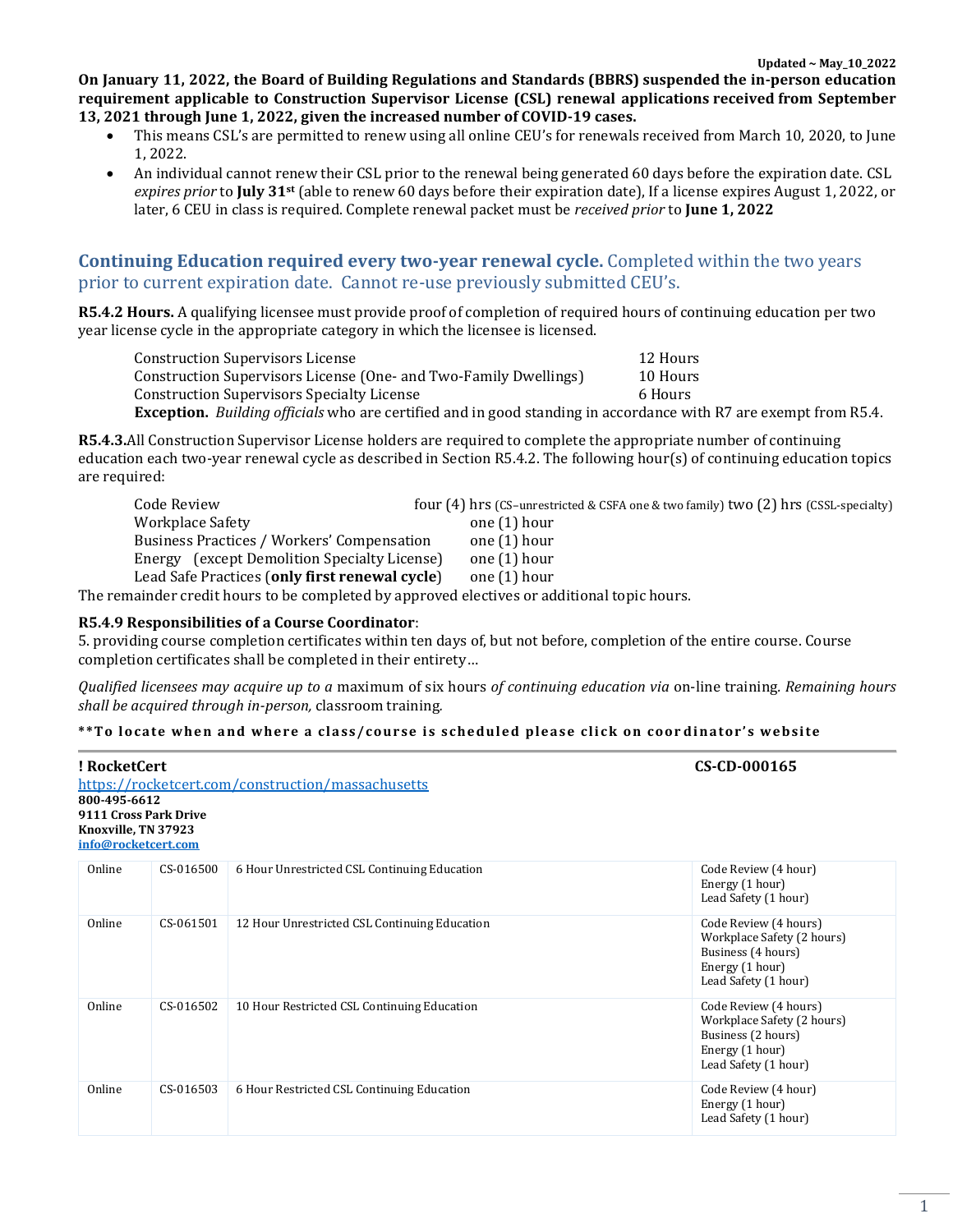**On January 11, 2022, the Board of Building Regulations and Standards (BBRS) suspended the in-person education requirement applicable to Construction Supervisor License (CSL) renewal applications received from September 13, 2021 through June 1, 2022, given the increased number of COVID-19 cases.**

- This means CSL's are permitted to renew using all online CEU's for renewals received from March 10, 2020, to June 1, 2022.
- An individual cannot renew their CSL prior to the renewal being generated 60 days before the expiration date. CSL *expires prior* to **July 31st** (able to renew 60 days before their expiration date), If a license expires August 1, 2022, or later, 6 CEU in class is required. Complete renewal packet must be *received prior* to **June 1, 2022**

# **Continuing Education required every two-year renewal cycle.** Completed within the two years prior to current expiration date. Cannot re-use previously submitted CEU's.

**R5.4.2 Hours.** A qualifying licensee must provide proof of completion of required hours of continuing education per two year license cycle in the appropriate category in which the licensee is licensed.

| <b>Construction Supervisors License</b>                                                                                 | 12 Hours |
|-------------------------------------------------------------------------------------------------------------------------|----------|
| Construction Supervisors License (One- and Two-Family Dwellings)                                                        | 10 Hours |
| Construction Supervisors Specialty License                                                                              | 6 Hours  |
| <b>Exception.</b> Building officials who are certified and in good standing in accordance with R7 are exempt from R5.4. |          |

**R5.4.3.**All Construction Supervisor License holders are required to complete the appropriate number of continuing education each two-year renewal cycle as described in Section R5.4.2. The following hour(s) of continuing education topics are required:

| Code Review                                                                                                                          | four $(4)$ hrs (CS-unrestricted & CSFA one & two family) two $(2)$ hrs (CSSL-specialty) |
|--------------------------------------------------------------------------------------------------------------------------------------|-----------------------------------------------------------------------------------------|
| <b>Workplace Safety</b>                                                                                                              | one (1) hour                                                                            |
| Business Practices / Workers' Compensation                                                                                           | one (1) hour                                                                            |
| Energy (except Demolition Specialty License)                                                                                         | one (1) hour                                                                            |
| Lead Safe Practices (only first renewal cycle)                                                                                       | one (1) hour                                                                            |
| $\mathbf{1}$ , $\mathbf{1}$ , $\mathbf{1}$ , $\mathbf{1}$ , $\mathbf{1}$ , $\mathbf{1}$ , $\mathbf{1}$ , $\mathbf{1}$ , $\mathbf{1}$ |                                                                                         |

The remainder credit hours to be completed by approved electives or additional topic hours.

#### **R5.4.9 Responsibilities of a Course Coordinator**:

5. providing course completion certificates within ten days of, but not before, completion of the entire course. Course completion certificates shall be completed in their entirety…

*Qualified licensees may acquire up to a* maximum of six hours *of continuing education via* on-line training*. Remaining hours shall be acquired through in-person,* classroom training*.* 

#### **\*\*To lo ca te whe n a nd w her e a cl a ss /co ur se i s s chedul ed ple as e cli c k o n co o r di na to r ' s web si te**

| ! RocketCert<br>800-495-6612<br>9111 Cross Park Drive<br>Knoxville, TN 37923<br>info@rocketcert.com |           | https://rocketcert.com/construction/massachusetts | CS-CD-000165                                                                                                         |
|-----------------------------------------------------------------------------------------------------|-----------|---------------------------------------------------|----------------------------------------------------------------------------------------------------------------------|
| Online                                                                                              | CS-016500 | 6 Hour Unrestricted CSL Continuing Education      | Code Review (4 hour)<br>Energy (1 hour)<br>Lead Safety (1 hour)                                                      |
| Online                                                                                              | CS-061501 | 12 Hour Unrestricted CSL Continuing Education     | Code Review (4 hours)<br>Workplace Safety (2 hours)<br>Business (4 hours)<br>Energy (1 hour)<br>Lead Safety (1 hour) |
| Online                                                                                              | CS-016502 | 10 Hour Restricted CSL Continuing Education       | Code Review (4 hours)<br>Workplace Safety (2 hours)<br>Business (2 hours)<br>Energy (1 hour)<br>Lead Safety (1 hour) |
| Online                                                                                              | CS-016503 | 6 Hour Restricted CSL Continuing Education        | Code Review (4 hour)<br>Energy (1 hour)<br>Lead Safety (1 hour)                                                      |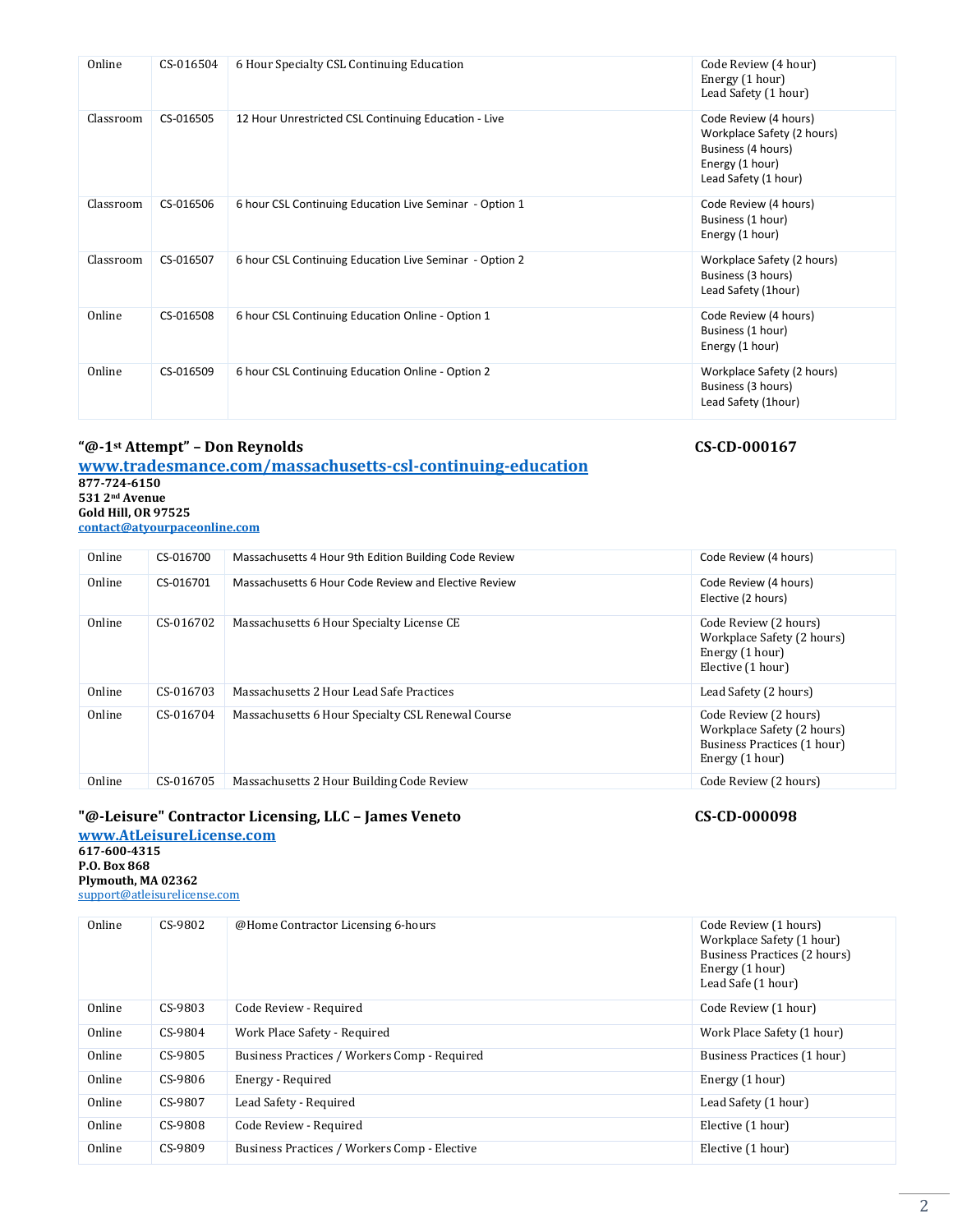| Online    | CS-016504 | 6 Hour Specialty CSL Continuing Education               | Code Review (4 hour)<br>Energy (1 hour)<br>Lead Safety (1 hour)                                                      |
|-----------|-----------|---------------------------------------------------------|----------------------------------------------------------------------------------------------------------------------|
| Classroom | CS-016505 | 12 Hour Unrestricted CSL Continuing Education - Live    | Code Review (4 hours)<br>Workplace Safety (2 hours)<br>Business (4 hours)<br>Energy (1 hour)<br>Lead Safety (1 hour) |
| Classroom | CS-016506 | 6 hour CSL Continuing Education Live Seminar - Option 1 | Code Review (4 hours)<br>Business (1 hour)<br>Energy (1 hour)                                                        |
| Classroom | CS-016507 | 6 hour CSL Continuing Education Live Seminar - Option 2 | Workplace Safety (2 hours)<br>Business (3 hours)<br>Lead Safety (1hour)                                              |
| Online    | CS-016508 | 6 hour CSL Continuing Education Online - Option 1       | Code Review (4 hours)<br>Business (1 hour)<br>Energy (1 hour)                                                        |
| Online    | CS-016509 | 6 hour CSL Continuing Education Online - Option 2       | Workplace Safety (2 hours)<br>Business (3 hours)<br>Lead Safety (1hour)                                              |

# **"@-1st Attempt" – Don Reynolds CS-CD-000167**

**[www.tradesmance.com/massachusetts-csl-continuing-education](http://www.tradesmance.com/massachusetts-csl-continuing-education) 877-724-6150 531 2nd Avenue Gold Hill, OR 97525 [contact@atyourpaceonline.com](mailto:contact@atyourpaceonline.com)**

| Online | CS-016700 | Massachusetts 4 Hour 9th Edition Building Code Review | Code Review (4 hours)                                                                                 |
|--------|-----------|-------------------------------------------------------|-------------------------------------------------------------------------------------------------------|
| Online | CS-016701 | Massachusetts 6 Hour Code Review and Elective Review  | Code Review (4 hours)<br>Elective (2 hours)                                                           |
| Online | CS-016702 | Massachusetts 6 Hour Specialty License CE             | Code Review (2 hours)<br>Workplace Safety (2 hours)<br>Energy (1 hour)<br>Elective (1 hour)           |
| Online | CS-016703 | Massachusetts 2 Hour Lead Safe Practices              | Lead Safety (2 hours)                                                                                 |
| Online | CS-016704 | Massachusetts 6 Hour Specialty CSL Renewal Course     | Code Review (2 hours)<br>Workplace Safety (2 hours)<br>Business Practices (1 hour)<br>Energy (1 hour) |
| Online | CS-016705 | Massachusetts 2 Hour Building Code Review             | Code Review (2 hours)                                                                                 |

# **"@-Leisure" Contractor Licensing, LLC – James Veneto CS-CD-000098**

**[www.AtLeisureLicense.com](http://www.atleisurelicense.com/) 617-600-4315 P.O. Box 868 Plymouth, MA 02362** support@atleisurelicense.com

| Online | CS-9802 | @Home Contractor Licensing 6-hours           | Code Review (1 hours)<br>Workplace Safety (1 hour)<br>Business Practices (2 hours)<br>Energy (1 hour)<br>Lead Safe (1 hour) |
|--------|---------|----------------------------------------------|-----------------------------------------------------------------------------------------------------------------------------|
| Online | CS-9803 | Code Review - Required                       | Code Review (1 hour)                                                                                                        |
| Online | CS-9804 | Work Place Safety - Required                 | Work Place Safety (1 hour)                                                                                                  |
| Online | CS-9805 | Business Practices / Workers Comp - Required | Business Practices (1 hour)                                                                                                 |
| Online | CS-9806 | Energy - Required                            | Energy (1 hour)                                                                                                             |
| Online | CS-9807 | Lead Safety - Required                       | Lead Safety (1 hour)                                                                                                        |
| Online | CS-9808 | Code Review - Required                       | Elective (1 hour)                                                                                                           |
| Online | CS-9809 | Business Practices / Workers Comp - Elective | Elective (1 hour)                                                                                                           |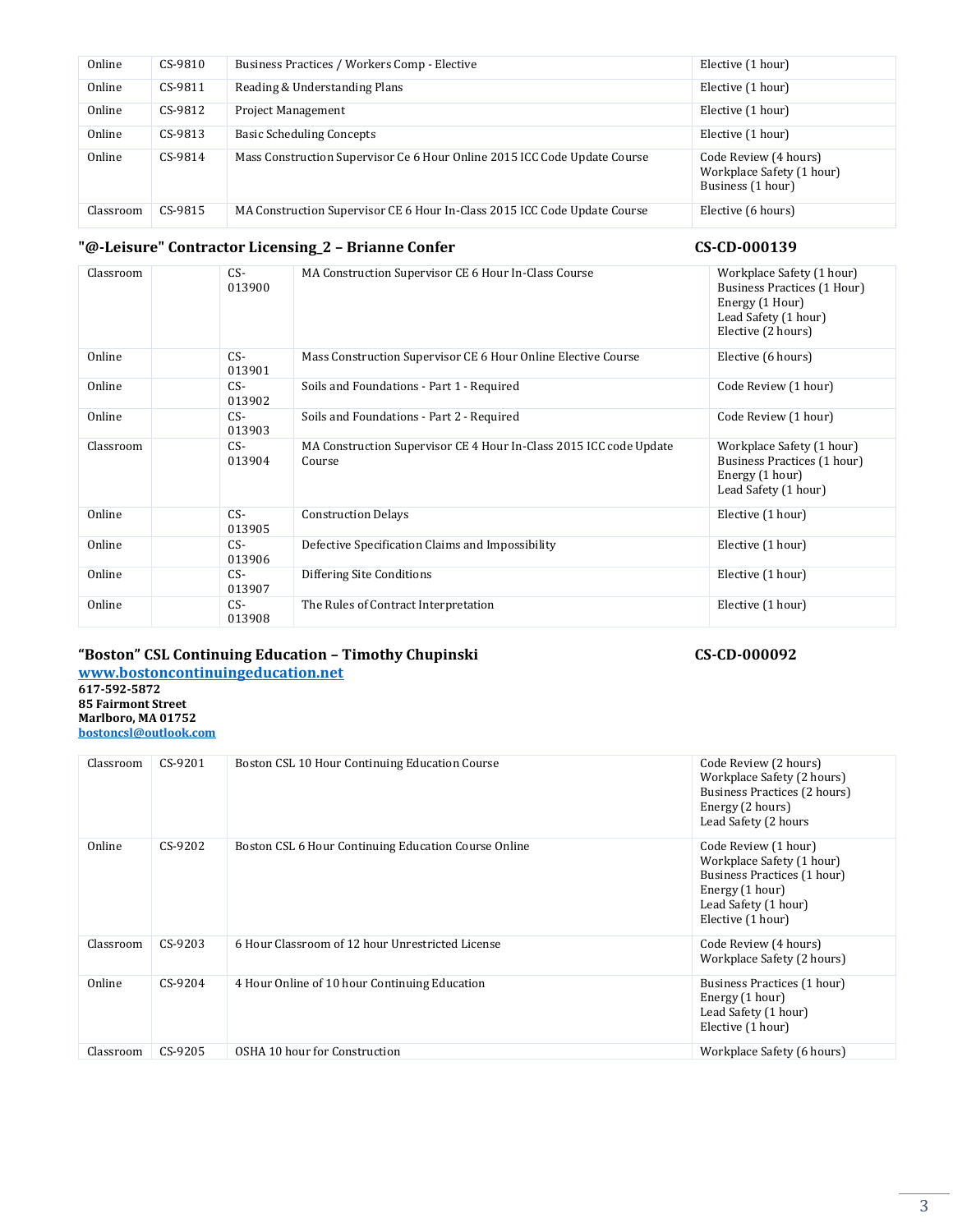| Online    | $CS-9810$ | Business Practices / Workers Comp - Elective                              | Elective (1 hour)                                                       |
|-----------|-----------|---------------------------------------------------------------------------|-------------------------------------------------------------------------|
| Online    | CS-9811   | Reading & Understanding Plans                                             | Elective (1 hour)                                                       |
| Online    | CS-9812   | <b>Project Management</b>                                                 | Elective (1 hour)                                                       |
| Online    | CS-9813   | <b>Basic Scheduling Concepts</b>                                          | Elective (1 hour)                                                       |
| Online    | CS-9814   | Mass Construction Supervisor Ce 6 Hour Online 2015 ICC Code Update Course | Code Review (4 hours)<br>Workplace Safety (1 hour)<br>Business (1 hour) |
| Classroom | CS-9815   | MA Construction Supervisor CE 6 Hour In-Class 2015 ICC Code Update Course | Elective (6 hours)                                                      |

# **"@-Leisure" Contractor Licensing\_2 – Brianne Confer CS-CD-000139**

| Classroom | CS-<br>013900   | MA Construction Supervisor CE 6 Hour In-Class Course                         | Workplace Safety (1 hour)<br>Business Practices (1 Hour)<br>Energy (1 Hour)<br>Lead Safety (1 hour)<br>Elective (2 hours) |
|-----------|-----------------|------------------------------------------------------------------------------|---------------------------------------------------------------------------------------------------------------------------|
| Online    | CS-<br>013901   | Mass Construction Supervisor CE 6 Hour Online Elective Course                | Elective (6 hours)                                                                                                        |
| Online    | CS-<br>013902   | Soils and Foundations - Part 1 - Required                                    | Code Review (1 hour)                                                                                                      |
| Online    | CS-<br>013903   | Soils and Foundations - Part 2 - Required                                    | Code Review (1 hour)                                                                                                      |
| Classroom | CS-<br>013904   | MA Construction Supervisor CE 4 Hour In-Class 2015 ICC code Update<br>Course | Workplace Safety (1 hour)<br>Business Practices (1 hour)<br>Energy (1 hour)<br>Lead Safety (1 hour)                       |
| Online    | CS-<br>013905   | <b>Construction Delays</b>                                                   | Elective (1 hour)                                                                                                         |
| Online    | $CS-$<br>013906 | Defective Specification Claims and Impossibility                             | Elective (1 hour)                                                                                                         |
| Online    | CS-<br>013907   | Differing Site Conditions                                                    | Elective (1 hour)                                                                                                         |
| Online    | CS-<br>013908   | The Rules of Contract Interpretation                                         | Elective (1 hour)                                                                                                         |

### **"Boston" CSL Continuing Education – Timothy Chupinski CS-CD-000092**

**[www.bostoncontinuingeducation.net](http://www.bostoncontinuingeducation.net/) 617-592-5872 85 Fairmont Street Marlboro, MA 01752 [bostoncsl@outlook.com](mailto:bostoncsl@outlook.com)**

| Classroom | $CS-9201$ | Boston CSL 10 Hour Continuing Education Course       | Code Review (2 hours)<br>Workplace Safety (2 hours)<br>Business Practices (2 hours)<br>Energy (2 hours)<br>Lead Safety (2 hours                  |
|-----------|-----------|------------------------------------------------------|--------------------------------------------------------------------------------------------------------------------------------------------------|
| Online    | CS-9202   | Boston CSL 6 Hour Continuing Education Course Online | Code Review (1 hour)<br>Workplace Safety (1 hour)<br>Business Practices (1 hour)<br>Energy (1 hour)<br>Lead Safety (1 hour)<br>Elective (1 hour) |
| Classroom | $CS-9203$ | 6 Hour Classroom of 12 hour Unrestricted License     | Code Review (4 hours)<br>Workplace Safety (2 hours)                                                                                              |
| Online    | CS-9204   | 4 Hour Online of 10 hour Continuing Education        | Business Practices (1 hour)<br>Energy (1 hour)<br>Lead Safety (1 hour)<br>Elective (1 hour)                                                      |
| Classroom | CS-9205   | OSHA 10 hour for Construction                        | Workplace Safety (6 hours)                                                                                                                       |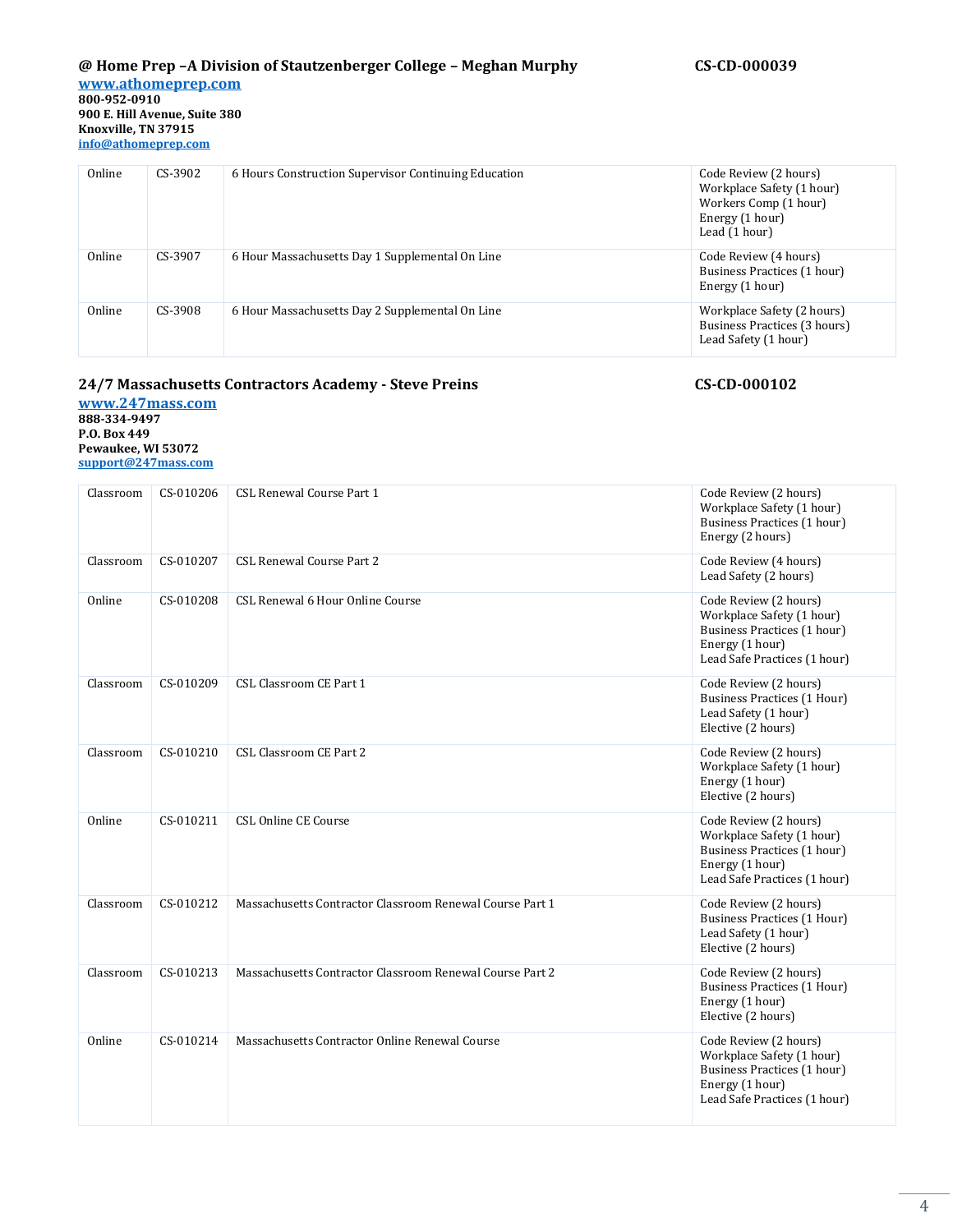Online CS-3902 6 Hours Construction Supervisor Continuing Education Code Review (2 hours) Workplace Safety (1 hour) Workers Comp (1 hour) Energy (1 hour) Lead  $(1$  hour) Online CS-3907 6 Hour Massachusetts Day 1 Supplemental On Line Code Review (4 hours) Business Practices (1 hour) Energy (1 hour) Online CS-3908 6 Hour Massachusetts Day 2 Supplemental On Line Workplace Safety (2 hours) Business Practices (3 hours) Lead Safety (1 hour)

# **24/7 Massachusetts Contractors Academy - Steve Preins CS-CD-000102**

**[www.247mass.com](http://www.247mass.com/) 888-334-9497 P.O. Box 449 Pewaukee, WI 53072 [support@247mass.com](mailto:support@247mass.com)**

| Classroom | CS-010206 | CSL Renewal Course Part 1                                | Code Review (2 hours)<br>Workplace Safety (1 hour)<br>Business Practices (1 hour)<br>Energy (2 hours)                                |
|-----------|-----------|----------------------------------------------------------|--------------------------------------------------------------------------------------------------------------------------------------|
| Classroom | CS-010207 | <b>CSL Renewal Course Part 2</b>                         | Code Review (4 hours)<br>Lead Safety (2 hours)                                                                                       |
| Online    | CS-010208 | CSL Renewal 6 Hour Online Course                         | Code Review (2 hours)<br>Workplace Safety (1 hour)<br>Business Practices (1 hour)<br>Energy (1 hour)<br>Lead Safe Practices (1 hour) |
| Classroom | CS-010209 | CSL Classroom CE Part 1                                  | Code Review (2 hours)<br>Business Practices (1 Hour)<br>Lead Safety (1 hour)<br>Elective (2 hours)                                   |
| Classroom | CS-010210 | CSL Classroom CE Part 2                                  | Code Review (2 hours)<br>Workplace Safety (1 hour)<br>Energy (1 hour)<br>Elective (2 hours)                                          |
| Online    | CS-010211 | CSL Online CE Course                                     | Code Review (2 hours)<br>Workplace Safety (1 hour)<br>Business Practices (1 hour)<br>Energy (1 hour)<br>Lead Safe Practices (1 hour) |
| Classroom | CS-010212 | Massachusetts Contractor Classroom Renewal Course Part 1 | Code Review (2 hours)<br>Business Practices (1 Hour)<br>Lead Safety (1 hour)<br>Elective (2 hours)                                   |
| Classroom | CS-010213 | Massachusetts Contractor Classroom Renewal Course Part 2 | Code Review (2 hours)<br>Business Practices (1 Hour)<br>Energy (1 hour)<br>Elective (2 hours)                                        |
| Online    | CS-010214 | Massachusetts Contractor Online Renewal Course           | Code Review (2 hours)<br>Workplace Safety (1 hour)<br>Business Practices (1 hour)<br>Energy (1 hour)<br>Lead Safe Practices (1 hour) |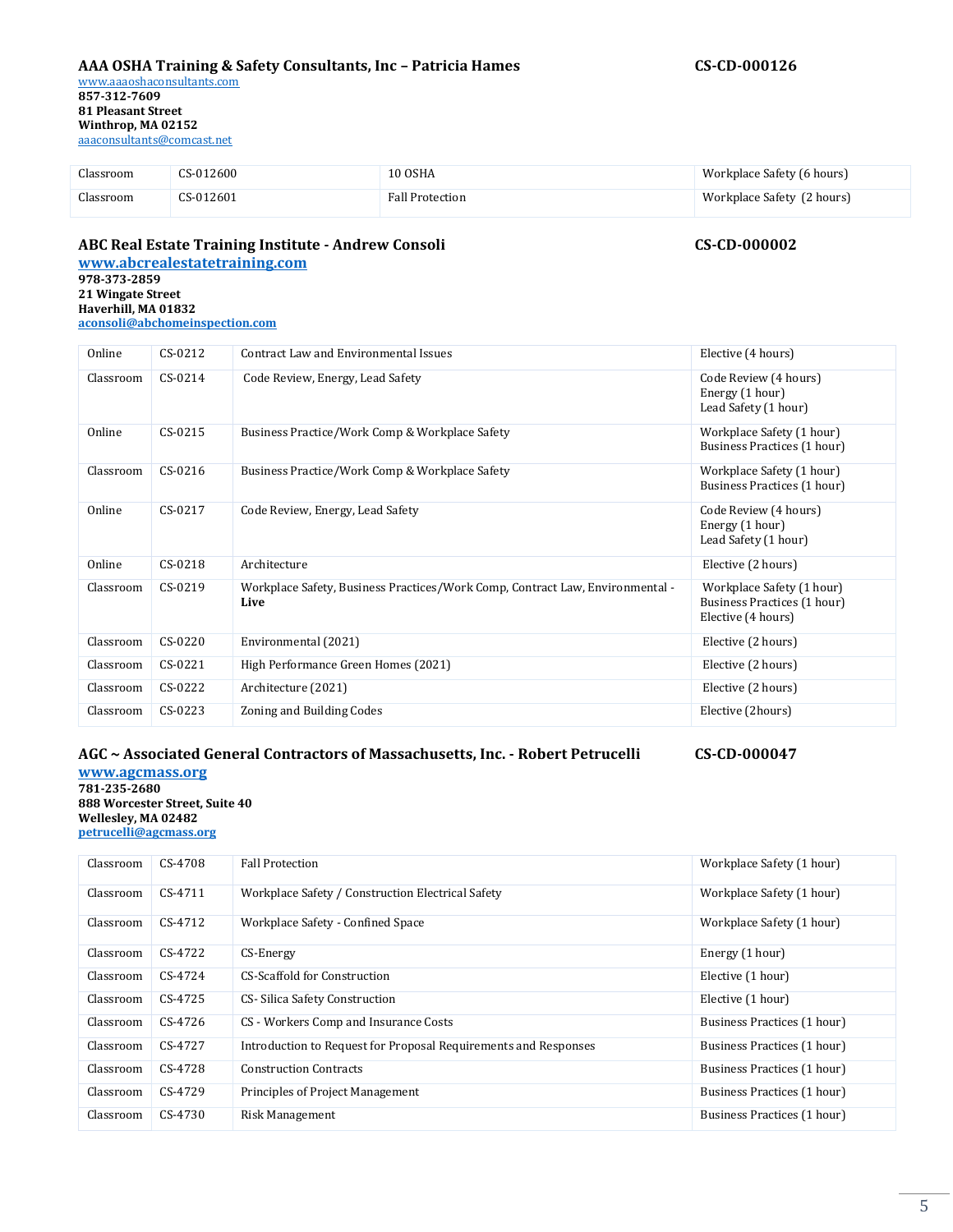### **AAA OSHA Training & Safety Consultants, Inc – Patricia Hames CS-CD-000126**

Classroom CS-012600 10 OSHA Workplace Safety (6 hours) Classroom CS-012601 Fall Protection Workplace Safety (2 hours)

# **ABC Real Estate Training Institute - Andrew Consoli CS-CD-000002**

**[www.abcrealestatetraining.com](http://www.abcrealestatetraining.com/) [978-373-2859](http://www.abcrealestatetraining.com/) [21 Wingate Street](http://www.abcrealestatetraining.com/) [Haverhill, MA 01832](http://www.abcrealestatetraining.com/) [aconsoli@abchomeinspection.com](mailto:aconsoli@abchomeinspection.com)**

| Online    | CS-0212   | Contract Law and Environmental Issues                                                 | Elective (4 hours)                                                             |
|-----------|-----------|---------------------------------------------------------------------------------------|--------------------------------------------------------------------------------|
| Classroom | $CS-0214$ | Code Review, Energy, Lead Safety                                                      | Code Review (4 hours)<br>Energy (1 hour)<br>Lead Safety (1 hour)               |
| Online    | CS-0215   | Business Practice/Work Comp & Workplace Safety                                        | Workplace Safety (1 hour)<br>Business Practices (1 hour)                       |
| Classroom | $CS-0216$ | Business Practice/Work Comp & Workplace Safety                                        | Workplace Safety (1 hour)<br>Business Practices (1 hour)                       |
| Online    | CS-0217   | Code Review, Energy, Lead Safety                                                      | Code Review (4 hours)<br>Energy (1 hour)<br>Lead Safety (1 hour)               |
| Online    | CS-0218   | Architecture                                                                          | Elective (2 hours)                                                             |
| Classroom | CS-0219   | Workplace Safety, Business Practices/Work Comp, Contract Law, Environmental -<br>Live | Workplace Safety (1 hour)<br>Business Practices (1 hour)<br>Elective (4 hours) |
| Classroom | CS-0220   | Environmental (2021)                                                                  | Elective (2 hours)                                                             |
| Classroom | CS-0221   | High Performance Green Homes (2021)                                                   | Elective (2 hours)                                                             |
| Classroom | CS-0222   | Architecture (2021)                                                                   | Elective (2 hours)                                                             |
| Classroom | CS-0223   | Zoning and Building Codes                                                             | Elective (2hours)                                                              |

#### **AGC ~ Associated General Contractors of Massachusetts, Inc. - Robert Petrucelli CS-CD-000047**

**[www.agcmass.org](http://www.agcmass.org/) 781-235-2680 888 Worcester Street, Suite 40 Wellesley, MA 02482 [petrucelli@agcmass.org](mailto:petrucelli@agcmass.org)**

| Classroom | CS-4708   | <b>Fall Protection</b>                                          | Workplace Safety (1 hour)   |
|-----------|-----------|-----------------------------------------------------------------|-----------------------------|
| Classroom | CS-4711   | Workplace Safety / Construction Electrical Safety               | Workplace Safety (1 hour)   |
| Classroom | CS-4712   | Workplace Safety - Confined Space                               | Workplace Safety (1 hour)   |
| Classroom | CS-4722   | CS-Energy                                                       | Energy (1 hour)             |
| Classroom | CS-4724   | CS-Scaffold for Construction                                    | Elective (1 hour)           |
| Classroom | $CS-4725$ | CS- Silica Safety Construction                                  | Elective (1 hour)           |
| Classroom | $CS-4726$ | CS - Workers Comp and Insurance Costs                           | Business Practices (1 hour) |
| Classroom | CS-4727   | Introduction to Request for Proposal Requirements and Responses | Business Practices (1 hour) |
| Classroom | CS-4728   | <b>Construction Contracts</b>                                   | Business Practices (1 hour) |
| Classroom | CS-4729   | Principles of Project Management                                | Business Practices (1 hour) |
| Classroom | CS-4730   | Risk Management                                                 | Business Practices (1 hour) |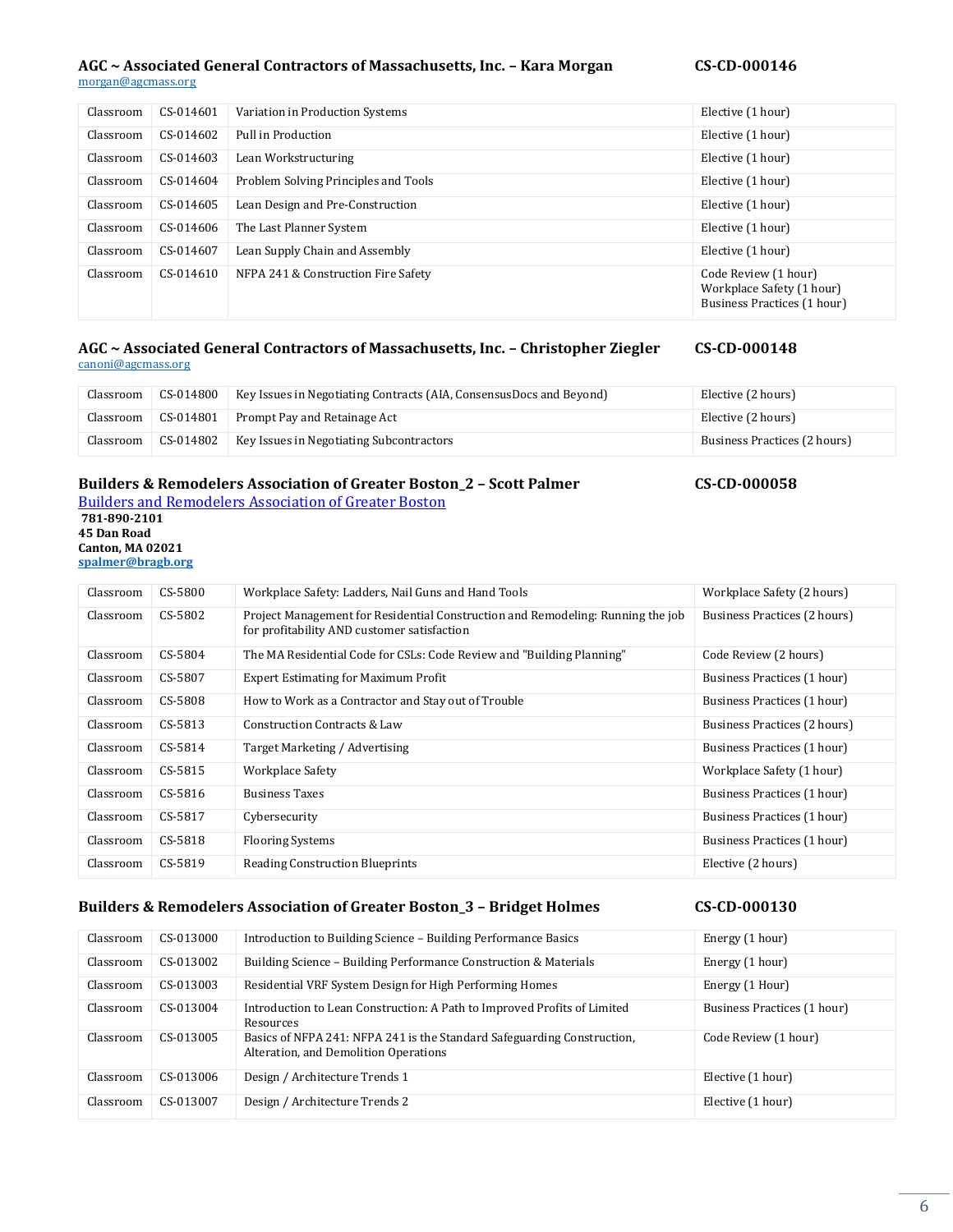# AGC ~ Associated General Contractors of Massachusetts, Inc. - Kara Morgan

#### [morgan@agcmass.org](mailto:morgan@agcmass.org)

| CS-CD-000146 |  |  |
|--------------|--|--|
|              |  |  |

| Classroom | CS-014601 | Variation in Production Systems      | Elective (1 hour)                                                                |
|-----------|-----------|--------------------------------------|----------------------------------------------------------------------------------|
| Classroom | CS-014602 | Pull in Production                   | Elective (1 hour)                                                                |
| Classroom | CS-014603 | Lean Workstructuring                 | Elective (1 hour)                                                                |
| Classroom | CS-014604 | Problem Solving Principles and Tools | Elective (1 hour)                                                                |
| Classroom | CS-014605 | Lean Design and Pre-Construction     | Elective (1 hour)                                                                |
| Classroom | CS-014606 | The Last Planner System              | Elective (1 hour)                                                                |
| Classroom | CS-014607 | Lean Supply Chain and Assembly       | Elective (1 hour)                                                                |
| Classroom | CS-014610 | NFPA 241 & Construction Fire Safety  | Code Review (1 hour)<br>Workplace Safety (1 hour)<br>Business Practices (1 hour) |

#### **AGC ~ Associated General Contractors of Massachusetts, Inc. – Christopher Ziegler CS-CD-000148** [canoni@agcmass.org](mailto:canoni@agcmass.org)

| Classroom | CS-014800 | Key Issues in Negotiating Contracts (AIA, ConsensusDocs and Beyond) | Elective (2 hours)           |
|-----------|-----------|---------------------------------------------------------------------|------------------------------|
| Classroom | CS-014801 | Prompt Pay and Retainage Act                                        | Elective (2 hours)           |
| Classroom | CS-014802 | Key Issues in Negotiating Subcontractors                            | Business Practices (2 hours) |

# **Builders & Remodelers Association of Greater Boston\_2 – Scott Palmer CS-CD-000058**

Builders and [Remodelers Association of Greater Boston](https://urldefense.proofpoint.com/v2/url?u=http-3A__www.bragb.org_&d=DwMFAg&c=lDF7oMaPKXpkYvev9V-fVahWL0QWnGCCAfCDz1Bns_w&r=EnmXmsyvhUI-fc2RUISybg70b3JQb_SU5YdKIydpk-I&m=pkZzcS3NATWNqTCp8-iHJCN_kSa1S2UmM09D9JHHK0g&s=5vRzhxuIlNrYbJXYI7agpKB-8A5qILqiQIhx2yebqqQ&e=) **781-890-2101 45 Dan Road Canton, MA 02021 [spalmer@bragb.org](mailto:spalmer@bragb.org)**

| Classroom | CS-5800 | Workplace Safety: Ladders, Nail Guns and Hand Tools                                                                            | Workplace Safety (2 hours)   |
|-----------|---------|--------------------------------------------------------------------------------------------------------------------------------|------------------------------|
| Classroom | CS-5802 | Project Management for Residential Construction and Remodeling: Running the job<br>for profitability AND customer satisfaction | Business Practices (2 hours) |
| Classroom | CS-5804 | The MA Residential Code for CSLs: Code Review and "Building Planning"                                                          | Code Review (2 hours)        |
| Classroom | CS-5807 | <b>Expert Estimating for Maximum Profit</b>                                                                                    | Business Practices (1 hour)  |
| Classroom | CS-5808 | How to Work as a Contractor and Stay out of Trouble                                                                            | Business Practices (1 hour)  |
| Classroom | CS-5813 | Construction Contracts & Law                                                                                                   | Business Practices (2 hours) |
| Classroom | CS-5814 | Target Marketing / Advertising                                                                                                 | Business Practices (1 hour)  |
| Classroom | CS-5815 | Workplace Safety                                                                                                               | Workplace Safety (1 hour)    |
| Classroom | CS-5816 | <b>Business Taxes</b>                                                                                                          | Business Practices (1 hour)  |
| Classroom | CS-5817 | Cybersecurity                                                                                                                  | Business Practices (1 hour)  |
| Classroom | CS-5818 | <b>Flooring Systems</b>                                                                                                        | Business Practices (1 hour)  |
| Classroom | CS-5819 | Reading Construction Blueprints                                                                                                | Elective (2 hours)           |

### **Builders & Remodelers Association of Greater Boston\_3 – Bridget Holmes CS-CD-000130**

| Classroom | CS-013000 | Introduction to Building Science - Building Performance Basics                                                   | Energy (1 hour)             |
|-----------|-----------|------------------------------------------------------------------------------------------------------------------|-----------------------------|
| Classroom | CS-013002 | Building Science - Building Performance Construction & Materials                                                 | Energy (1 hour)             |
| Classroom | CS-013003 | Residential VRF System Design for High Performing Homes                                                          | Energy (1 Hour)             |
| Classroom | CS-013004 | Introduction to Lean Construction: A Path to Improved Profits of Limited<br>Resources                            | Business Practices (1 hour) |
| Classroom | CS-013005 | Basics of NFPA 241: NFPA 241 is the Standard Safeguarding Construction.<br>Alteration, and Demolition Operations | Code Review (1 hour)        |
| Classroom | CS-013006 | Design / Architecture Trends 1                                                                                   | Elective (1 hour)           |
| Classroom | CS-013007 | Design / Architecture Trends 2                                                                                   | Elective (1 hour)           |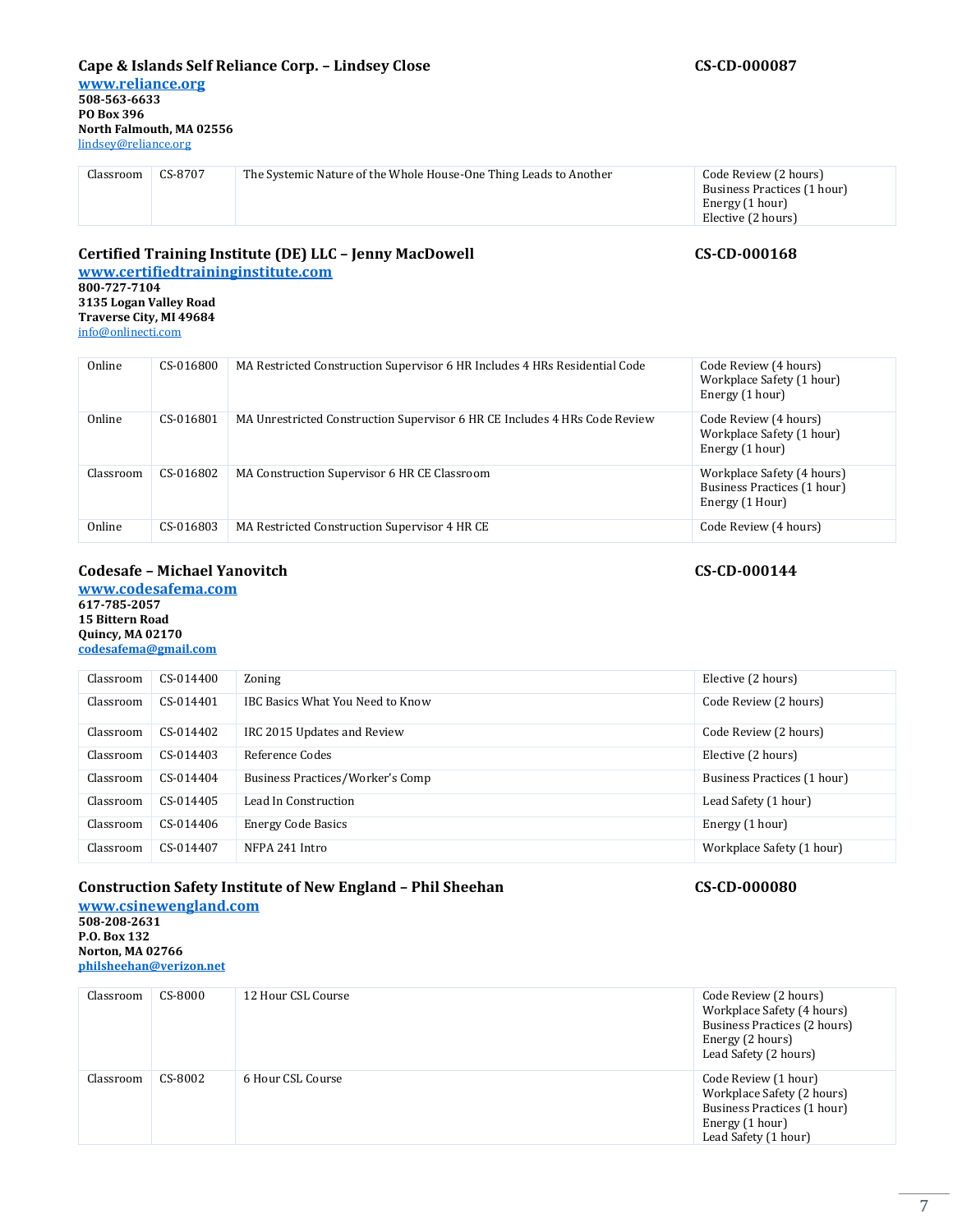#### **Cape & Islands Self Reliance Corp. – Lindsey Close CS-CD-000087**

**[www.reliance.org](http://www.reliance.org/)**

#### Classroom CS-8707 The Systemic Nature of the Whole House-One Thing Leads to Another Code Review (2 hours) Business Practices (1 hour) Energy (1 hour) Elective (2 hours)

#### **Certified Training Institute (DE) LLC – Jenny MacDowell CS-CD-000168 [www.certifiedtraininginstitute.com](http://www.certifiedtraininginstitute.com/)**

**800-727-7104 3135 Logan Valley Road Traverse City, MI 49684** [info@onlinecti.com](mailto:info@onlinecti.com)

| Online    | CS-016800 | MA Restricted Construction Supervisor 6 HR Includes 4 HRs Residential Code | Code Review (4 hours)<br>Workplace Safety (1 hour)<br>Energy (1 hour)        |
|-----------|-----------|----------------------------------------------------------------------------|------------------------------------------------------------------------------|
| Online    | CS-016801 | MA Unrestricted Construction Supervisor 6 HR CE Includes 4 HRs Code Review | Code Review (4 hours)<br>Workplace Safety (1 hour)<br>Energy (1 hour)        |
| Classroom | CS-016802 | MA Construction Supervisor 6 HR CE Classroom                               | Workplace Safety (4 hours)<br>Business Practices (1 hour)<br>Energy (1 Hour) |
| Online    | CS-016803 | MA Restricted Construction Supervisor 4 HR CE                              | Code Review (4 hours)                                                        |

### **Codesafe – Michael Yanovitch CS-CD-000144**

**[www.codesafema.com](http://www.codesafema.com/) 617-785-2057 15 Bittern Road Quincy, MA 02170 [codesafema@gmail.com](mailto:rkoti@psdconsulting.com)**

| Classroom | CS-014400   | Zoning                           | Elective (2 hours)          |
|-----------|-------------|----------------------------------|-----------------------------|
| Classroom | CS-014401   | IBC Basics What You Need to Know | Code Review (2 hours)       |
| Classroom | CS-014402   | IRC 2015 Updates and Review      | Code Review (2 hours)       |
| Classroom | CS-014403   | Reference Codes                  | Elective (2 hours)          |
| Classroom | $CS-014404$ | Business Practices/Worker's Comp | Business Practices (1 hour) |
| Classroom | CS-014405   | Lead In Construction             | Lead Safety (1 hour)        |
| Classroom | CS-014406   | <b>Energy Code Basics</b>        | Energy (1 hour)             |
| Classroom | CS-014407   | NFPA 241 Intro                   | Workplace Safety (1 hour)   |

# **Construction Safety Institute of New England – Phil Sheehan CS-CD-000080**

**[www.csinewengland.com](http://www.csinewengland.com/) 508-208-2631 P.O. Box 132 Norton, MA 02766 [philsheehan@verizon.net](mailto:philsheehan@verizon.net)**

| Classroom | CS-8000 | 12 Hour CSL Course | Code Review (2 hours)<br>Workplace Safety (4 hours)<br>Business Practices (2 hours)<br>Energy (2 hours)<br>Lead Safety (2 hours) |
|-----------|---------|--------------------|----------------------------------------------------------------------------------------------------------------------------------|
| Classroom | CS-8002 | 6 Hour CSL Course  | Code Review (1 hour)<br>Workplace Safety (2 hours)<br>Business Practices (1 hour)<br>Energy (1 hour)<br>Lead Safety (1 hour)     |

7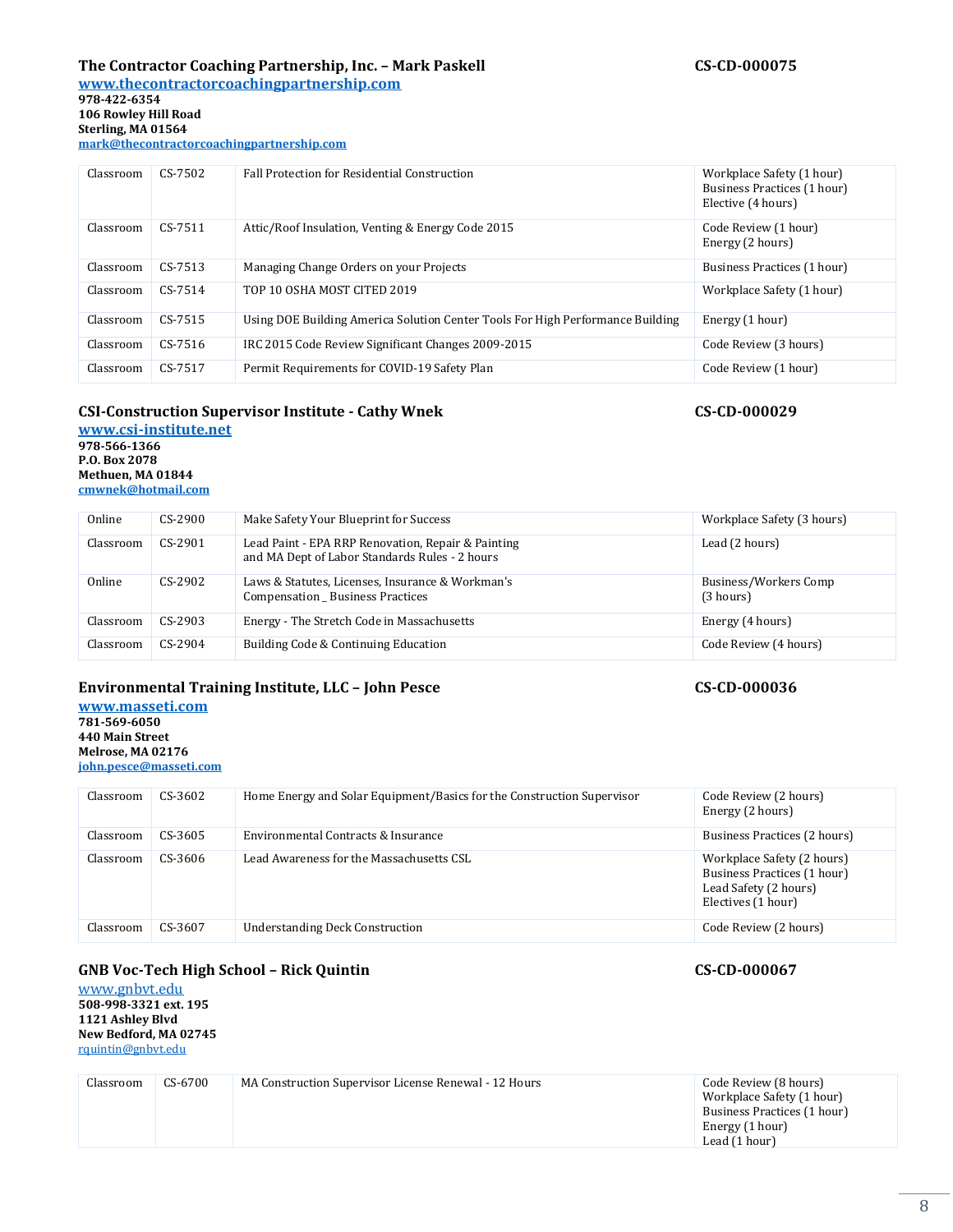# **The Contractor Coaching Partnership, Inc. – Mark Paskell CS-CD-000075**

**[www.thecontractorcoachingpartnership.com](http://www.thecontractorcoachingpartnership.com/) 978-422-6354 106 Rowley Hill Road**

**Sterling, MA 01564**

**[mark@thecontractorcoachingpartnership.com](mailto:mark@thecontractorcoachingpartnership.com)**

| Classroom | CS-7502   | <b>Fall Protection for Residential Construction</b>                            | Workplace Safety (1 hour)<br>Business Practices (1 hour)<br>Elective (4 hours) |
|-----------|-----------|--------------------------------------------------------------------------------|--------------------------------------------------------------------------------|
| Classroom | $CS-7511$ | Attic/Roof Insulation, Venting & Energy Code 2015                              | Code Review (1 hour)<br>Energy (2 hours)                                       |
| Classroom | $CS-7513$ | Managing Change Orders on your Projects                                        | Business Practices (1 hour)                                                    |
| Classroom | $CS-7514$ | TOP 10 OSHA MOST CITED 2019                                                    | Workplace Safety (1 hour)                                                      |
| Classroom | $CS-7515$ | Using DOE Building America Solution Center Tools For High Performance Building | Energy (1 hour)                                                                |
| Classroom | $CS-7516$ | IRC 2015 Code Review Significant Changes 2009-2015                             | Code Review (3 hours)                                                          |
| Classroom | CS-7517   | Permit Requirements for COVID-19 Safety Plan                                   | Code Review (1 hour)                                                           |

### **CSI-Construction Supervisor Institute - Cathy Wnek CS-CD-000029**

**[www.csi-institute.net](http://www.csi-institute.net/) 978-566-1366 P.O. Box 2078 Methuen, MA 01844 [cmwnek@hotmail.com](mailto:cmwnek@hotmail.com)**

| Online    | $CS-2900$ | Make Safety Your Blueprint for Success                                                               | Workplace Safety (3 hours)         |
|-----------|-----------|------------------------------------------------------------------------------------------------------|------------------------------------|
| Classroom | $CS-2901$ | Lead Paint - EPA RRP Renovation, Repair & Painting<br>and MA Dept of Labor Standards Rules - 2 hours | Lead (2 hours)                     |
| Online    | $CS-2902$ | Laws & Statutes, Licenses, Insurance & Workman's<br>Compensation _ Business Practices                | Business/Workers Comp<br>(3 hours) |
| Classroom | $CS-2903$ | Energy - The Stretch Code in Massachusetts                                                           | Energy (4 hours)                   |
| Classroom | $CS-2904$ | Building Code & Continuing Education                                                                 | Code Review (4 hours)              |

### **Environmental Training Institute, LLC – John Pesce CS-CD-000036**

**[www.masseti.com](http://www.eeba.org/) 781-569-6050 440 Main Street Melrose, MA 02176 [john.pesce@masseti.com](mailto:nancy@eeba.org)**

| Classroom | $CS-3602$ | Home Energy and Solar Equipment/Basics for the Construction Supervisor | Code Review (2 hours)<br>Energy (2 hours)                                                                |
|-----------|-----------|------------------------------------------------------------------------|----------------------------------------------------------------------------------------------------------|
| Classroom | CS-3605   | Environmental Contracts & Insurance                                    | Business Practices (2 hours)                                                                             |
| Classroom | $CS-3606$ | Lead Awareness for the Massachusetts CSL                               | Workplace Safety (2 hours)<br>Business Practices (1 hour)<br>Lead Safety (2 hours)<br>Electives (1 hour) |
| Classroom | CS-3607   | <b>Understanding Deck Construction</b>                                 | Code Review (2 hours)                                                                                    |

### **GNB Voc-Tech High School – Rick Quintin CS-CD-000067**

[www.gnbvt.edu](http://www.gnbvt.edu/) **508-998-3321 ext. 195 1121 Ashley Blvd New Bedford, MA 02745** [rquintin@gnbvt.edu](mailto:rquintin@gnbvt.edu)

| Classroom | CS-6700 | MA Construction Supervisor License Renewal - 12 Hours | Code Review (8 hours)<br>Workplace Safety (1 hour)<br>Business Practices (1 hour) |
|-----------|---------|-------------------------------------------------------|-----------------------------------------------------------------------------------|
|           |         |                                                       | Energy (1 hour)<br>Lead (1 hour)                                                  |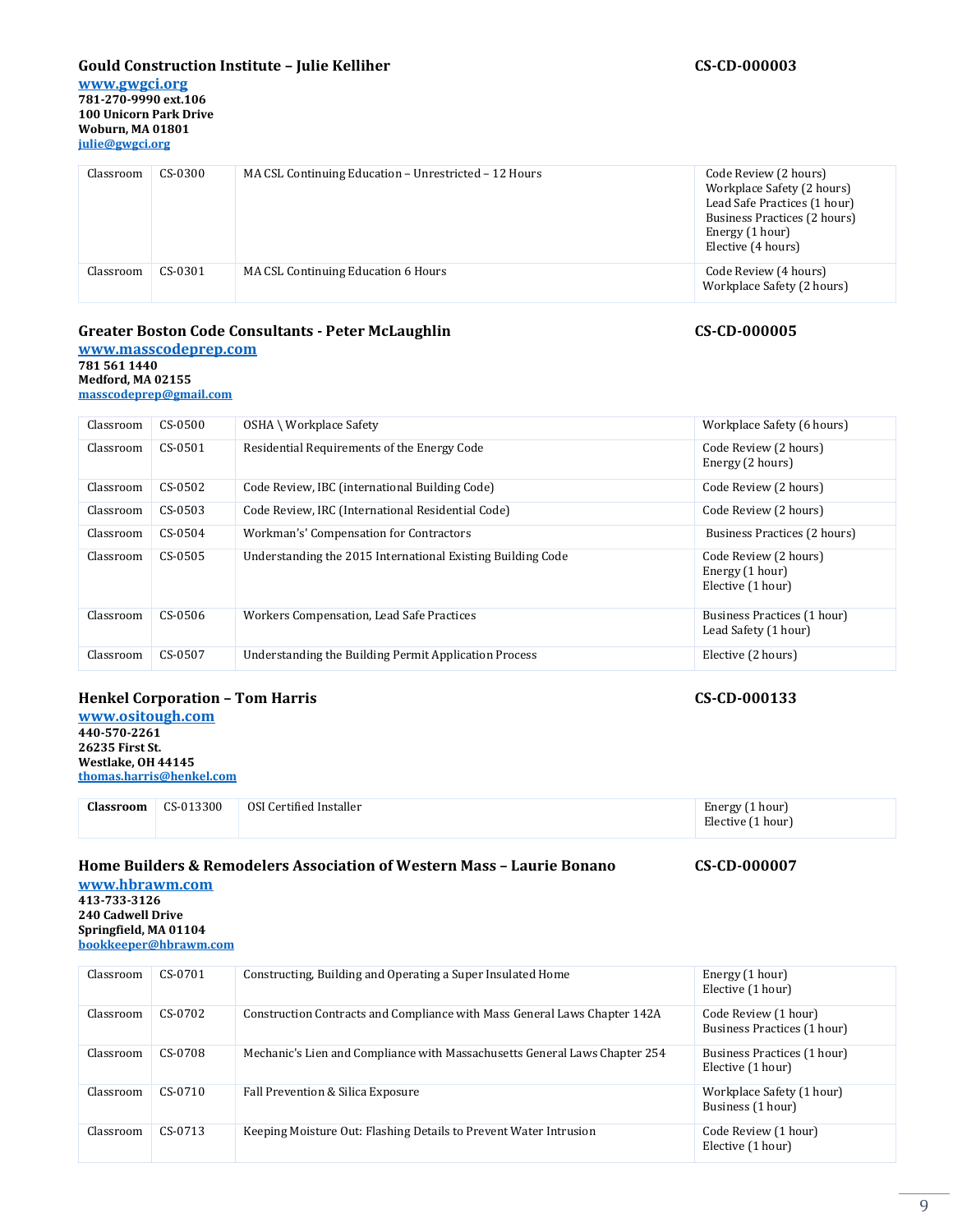#### **Gould Construction Institute – Julie Kelliher CS-CD-000003**

**[www.gwgci.org](http://www.gwgci.org/) 781-270-9990 ext.106 100 Unicorn Park Drive Woburn, MA 01801 [julie@gwgci.org](mailto:julie@gwgci.org)**

| Classroom | $CS-0300$ | MA CSL Continuing Education - Unrestricted - 12 Hours | Code Review (2 hours)<br>Workplace Safety (2 hours)<br>Lead Safe Practices (1 hour)<br>Business Practices (2 hours)<br>Energy (1 hour)<br>Elective (4 hours) |
|-----------|-----------|-------------------------------------------------------|--------------------------------------------------------------------------------------------------------------------------------------------------------------|
| Classroom | CS-0301   | MA CSL Continuing Education 6 Hours                   | Code Review (4 hours)<br>Workplace Safety (2 hours)                                                                                                          |

#### **Greater Boston Code Consultants - Peter McLaughlin CS-CD-000005**

**[www.masscodeprep.com](http://www.masscodeprep.com/) 781 561 1440 Medford, MA 02155**

**[masscodeprep@gmail.com](mailto:masscodeprep@gmail.com)**

| Classroom | CS-0500    | OSHA \ Workplace Safety                                     | Workplace Safety (6 hours)                                    |
|-----------|------------|-------------------------------------------------------------|---------------------------------------------------------------|
| Classroom | $CS-0.501$ | Residential Requirements of the Energy Code                 | Code Review (2 hours)<br>Energy (2 hours)                     |
| Classroom | CS-0502    | Code Review, IBC (international Building Code)              | Code Review (2 hours)                                         |
| Classroom | CS-0503    | Code Review, IRC (International Residential Code)           | Code Review (2 hours)                                         |
| Classroom | $CS-0.504$ | Workman's' Compensation for Contractors                     | Business Practices (2 hours)                                  |
| Classroom | CS-0505    | Understanding the 2015 International Existing Building Code | Code Review (2 hours)<br>Energy (1 hour)<br>Elective (1 hour) |
| Classroom | CS-0506    | Workers Compensation, Lead Safe Practices                   | Business Practices (1 hour)<br>Lead Safety (1 hour)           |
| Classroom | CS-0507    | Understanding the Building Permit Application Process       | Elective (2 hours)                                            |

#### **Henkel Corporation – Tom Harris CS-CD-000133**

**[www.ositough.com](http://www.ositough.com/) 440-570-2261 26235 First St. Westlake, OH 44145 [thomas.harris@henkel.com](mailto:sdoucette@hbrawm.com)**

| Classroom | CS-013300 | OSI Certified Installer | Energy (1 hour)   |
|-----------|-----------|-------------------------|-------------------|
|           |           |                         | Elective (1 hour) |

### **Home Builders & Remodelers Association of Western Mass – Laurie Bonano CS-CD-000007**

**[www.hbrawm.com](http://www.hbrawm.com/) 413-733-3126 240 Cadwell Drive Springfield, MA 01104 [bookkeeper@hbrawm.com](mailto:sdoucette@hbrawm.com)**

| Classroom | CS-0701   | Constructing, Building and Operating a Super Insulated Home                | Energy (1 hour)<br>Elective (1 hour)                |
|-----------|-----------|----------------------------------------------------------------------------|-----------------------------------------------------|
| Classroom | CS-0702   | Construction Contracts and Compliance with Mass General Laws Chapter 142A  | Code Review (1 hour)<br>Business Practices (1 hour) |
| Classroom | CS-0708   | Mechanic's Lien and Compliance with Massachusetts General Laws Chapter 254 | Business Practices (1 hour)<br>Elective (1 hour)    |
| Classroom | $CS-0710$ | Fall Prevention & Silica Exposure                                          | Workplace Safety (1 hour)<br>Business (1 hour)      |
| Classroom | $CS-0713$ | Keeping Moisture Out: Flashing Details to Prevent Water Intrusion          | Code Review (1 hour)<br>Elective (1 hour)           |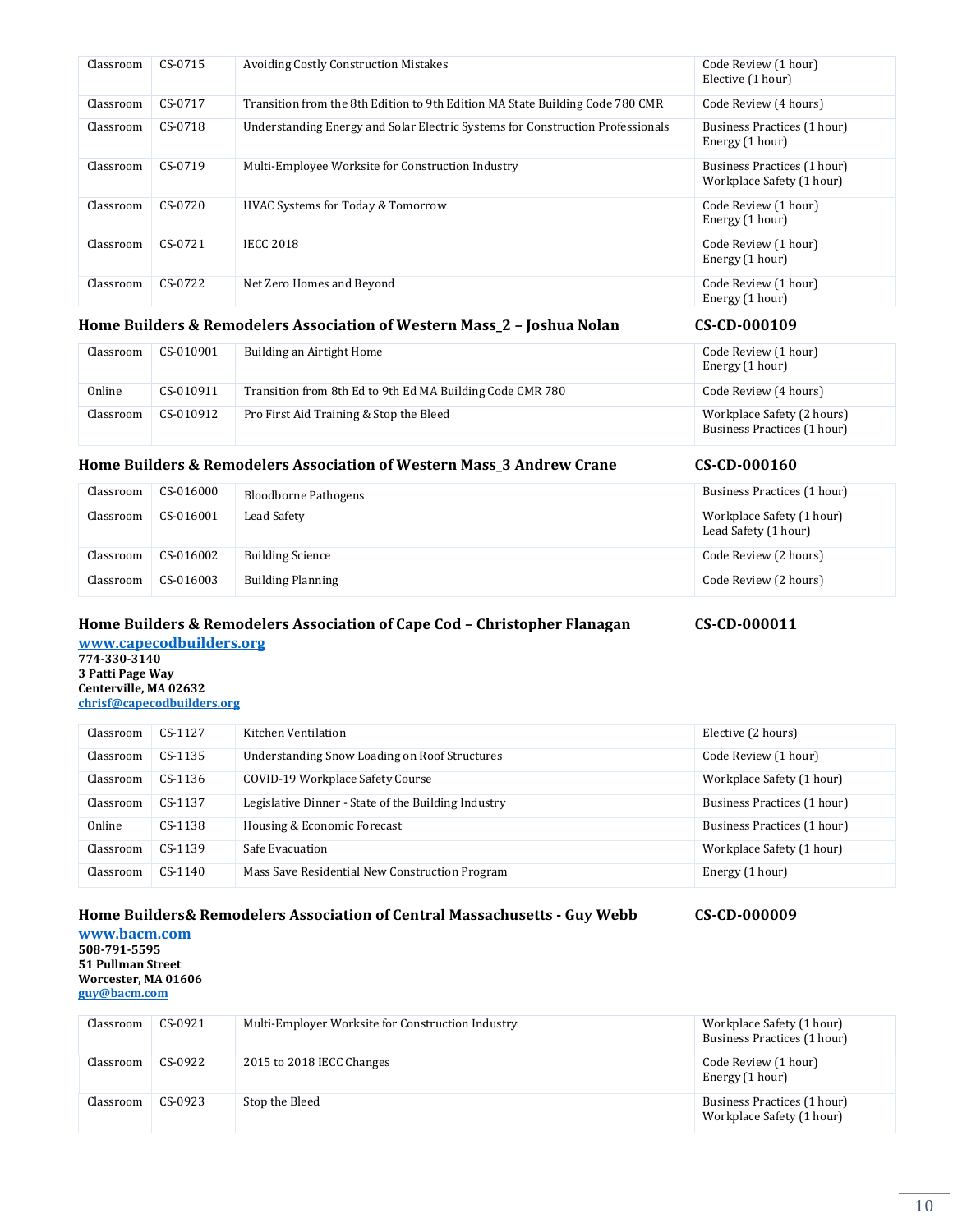| Classroom | $CS-0715$ | <b>Avoiding Costly Construction Mistakes</b>                                   | Code Review (1 hour)<br>Elective (1 hour)                |
|-----------|-----------|--------------------------------------------------------------------------------|----------------------------------------------------------|
| Classroom | CS-0717   | Transition from the 8th Edition to 9th Edition MA State Building Code 780 CMR  | Code Review (4 hours)                                    |
| Classroom | CS-0718   | Understanding Energy and Solar Electric Systems for Construction Professionals | Business Practices (1 hour)<br>Energy (1 hour)           |
| Classroom | CS-0719   | Multi-Employee Worksite for Construction Industry                              | Business Practices (1 hour)<br>Workplace Safety (1 hour) |
| Classroom | $CS-0720$ | <b>HVAC Systems for Today &amp; Tomorrow</b>                                   | Code Review (1 hour)<br>Energy (1 hour)                  |
| Classroom | $CS-0721$ | <b>IECC 2018</b>                                                               | Code Review (1 hour)<br>Energy (1 hour)                  |
| Classroom | CS-0722   | Net Zero Homes and Beyond                                                      | Code Review (1 hour)<br>Energy (1 hour)                  |

### **Home Builders & Remodelers Association of Western Mass\_2 – Joshua Nolan CS-CD-000109**

| Classroom | CS-010901 | Building an Airtight Home                                 | Code Review (1 hour)<br>Energy (1 hour)                   |
|-----------|-----------|-----------------------------------------------------------|-----------------------------------------------------------|
| Online    | CS-010911 | Transition from 8th Ed to 9th Ed MA Building Code CMR 780 | Code Review (4 hours)                                     |
| Classroom | CS-010912 | Pro First Aid Training & Stop the Bleed                   | Workplace Safety (2 hours)<br>Business Practices (1 hour) |

#### **Home Builders & Remodelers Association of Western Mass\_3 Andrew Crane CS-CD-000160**

| Classroom | CS-016000 | <b>Bloodborne Pathogens</b> | Business Practices (1 hour)                       |
|-----------|-----------|-----------------------------|---------------------------------------------------|
| Classroom | CS-016001 | Lead Safety                 | Workplace Safety (1 hour)<br>Lead Safety (1 hour) |
| Classroom | CS-016002 | <b>Building Science</b>     | Code Review (2 hours)                             |
| Classroom | CS-016003 | <b>Building Planning</b>    | Code Review (2 hours)                             |

### **Home Builders & Remodelers Association of Cape Cod – Christopher Flanagan CS-CD-000011 [www.capecodbuilders.org](http://www.capecodbuilders.org/)**

**774-330-3140 3 Patti Page Way Centerville, MA 02632 [chrisf@capecodbuilders.org](mailto:chrisf@capecodbuilders.org)**

| Classroom | $CS-1127$ | Kitchen Ventilation                                 | Elective (2 hours)          |
|-----------|-----------|-----------------------------------------------------|-----------------------------|
| Classroom | $CS-1135$ | Understanding Snow Loading on Roof Structures       | Code Review (1 hour)        |
| Classroom | $CS-1136$ | COVID-19 Workplace Safety Course                    | Workplace Safety (1 hour)   |
| Classroom | $CS-1137$ | Legislative Dinner - State of the Building Industry | Business Practices (1 hour) |
| Online    | $CS-1138$ | Housing & Economic Forecast                         | Business Practices (1 hour) |
| Classroom | $CS-1139$ | Safe Evacuation                                     | Workplace Safety (1 hour)   |
| Classroom | $CS-1140$ | Mass Save Residential New Construction Program      | Energy (1 hour)             |

# **Home Builders& Remodelers Association of Central Massachusetts - Guy Webb CS-CD-000009**

**[www.bacm.com](http://www.bacm.com/) 508-791-5595 51 Pullman Street Worcester, MA 01606 [guy@bacm.com](mailto:guy@bacm.com)**

| Classroom | CS-0921 | Multi-Employer Worksite for Construction Industry | Workplace Safety (1 hour)<br>Business Practices (1 hour) |
|-----------|---------|---------------------------------------------------|----------------------------------------------------------|
| Classroom | CS-0922 | 2015 to 2018 IECC Changes                         | Code Review (1 hour)<br>Energy (1 hour)                  |
| Classroom | CS-0923 | Stop the Bleed                                    | Business Practices (1 hour)<br>Workplace Safety (1 hour) |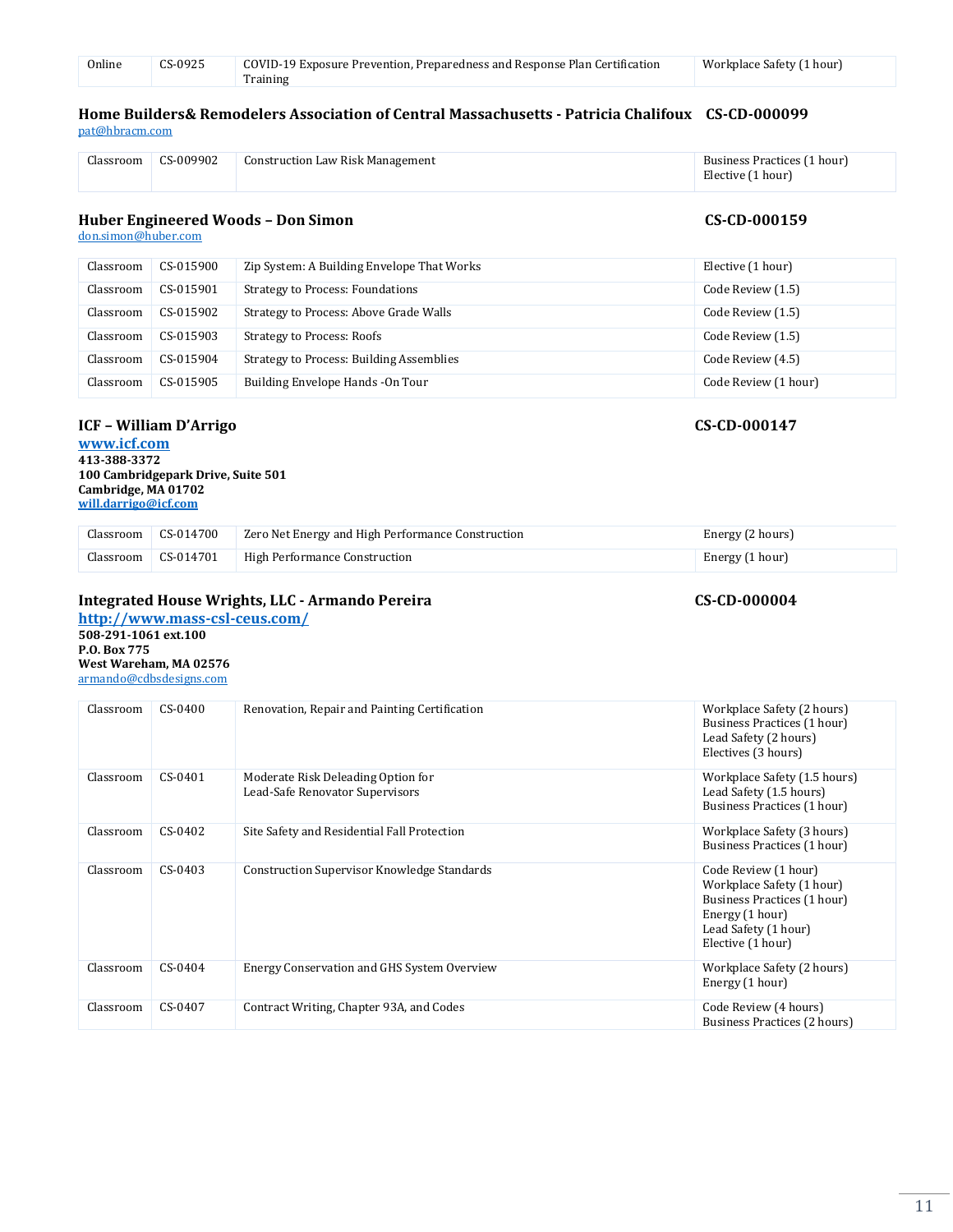| Online | CS-0925 | COVID-19 Exposure Prevention, Preparedness and Response Plan Certification | Workplace Safety (1 hour) |
|--------|---------|----------------------------------------------------------------------------|---------------------------|
|        |         | Training                                                                   |                           |

#### **Home Builders& Remodelers Association of Central Massachusetts - Patricia Chalifoux CS-CD-000099** [pat@hbracm.com](mailto:pat@hbracm.com)

| Classroom | CS-009902 | <b>Construction Law Risk Management</b> | Business Practices (1 hour) |
|-----------|-----------|-----------------------------------------|-----------------------------|
|           |           |                                         | Elective (1 hour)           |

### Huber Engineered Woods - Don Simon CS-CD-000159

[don.simon@huber.com](mailto:pat@hbracm.com)

| Classroom | CS-015900 | Zip System: A Building Envelope That Works | Elective (1 hour)    |
|-----------|-----------|--------------------------------------------|----------------------|
| Classroom | CS-015901 | <b>Strategy to Process: Foundations</b>    | Code Review (1.5)    |
| Classroom | CS-015902 | Strategy to Process: Above Grade Walls     | Code Review (1.5)    |
| Classroom | CS-015903 | <b>Strategy to Process: Roofs</b>          | Code Review (1.5)    |
| Classroom | CS-015904 | Strategy to Process: Building Assemblies   | Code Review (4.5)    |
| Classroom | CS-015905 | Building Envelope Hands - On Tour          | Code Review (1 hour) |

### **ICF – William D'Arrigo CS-CD-000147**

**[www.icf.com](http://www.icf.com/) 413-388-3372 100 Cambridgepark Drive, Suite 501 Cambridge, MA 01702 [will.darrigo@icf.com](mailto:armando@massrrptraining.com)**

| Classroom CS-014700 | Zero Net Energy and High Performance Construction | Energy (2 hours) |
|---------------------|---------------------------------------------------|------------------|
| Classroom CS-014701 | High Performance Construction                     | Energy (1 hour)  |

### **Integrated House Wrights, LLC - Armando Pereira CS-CD-000004**

**<http://www.mass-csl-ceus.com/> 508-291-1061 ext.100 P.O. Box 775 West Wareham, MA 02576** [armando@cdbsdesigns.com](mailto:armando@cdbsdesigns.com)

| Classroom | CS-0400 | Renovation, Repair and Painting Certification                         | Workplace Safety (2 hours)<br>Business Practices (1 hour)<br>Lead Safety (2 hours)<br>Electives (3 hours)                                        |
|-----------|---------|-----------------------------------------------------------------------|--------------------------------------------------------------------------------------------------------------------------------------------------|
| Classroom | CS-0401 | Moderate Risk Deleading Option for<br>Lead-Safe Renovator Supervisors | Workplace Safety (1.5 hours)<br>Lead Safety (1.5 hours)<br>Business Practices (1 hour)                                                           |
| Classroom | CS-0402 | Site Safety and Residential Fall Protection                           | Workplace Safety (3 hours)<br>Business Practices (1 hour)                                                                                        |
| Classroom | CS-0403 | <b>Construction Supervisor Knowledge Standards</b>                    | Code Review (1 hour)<br>Workplace Safety (1 hour)<br>Business Practices (1 hour)<br>Energy (1 hour)<br>Lead Safety (1 hour)<br>Elective (1 hour) |
| Classroom | CS-0404 | Energy Conservation and GHS System Overview                           | Workplace Safety (2 hours)<br>Energy (1 hour)                                                                                                    |
| Classroom | CS-0407 | Contract Writing, Chapter 93A, and Codes                              | Code Review (4 hours)<br>Business Practices (2 hours)                                                                                            |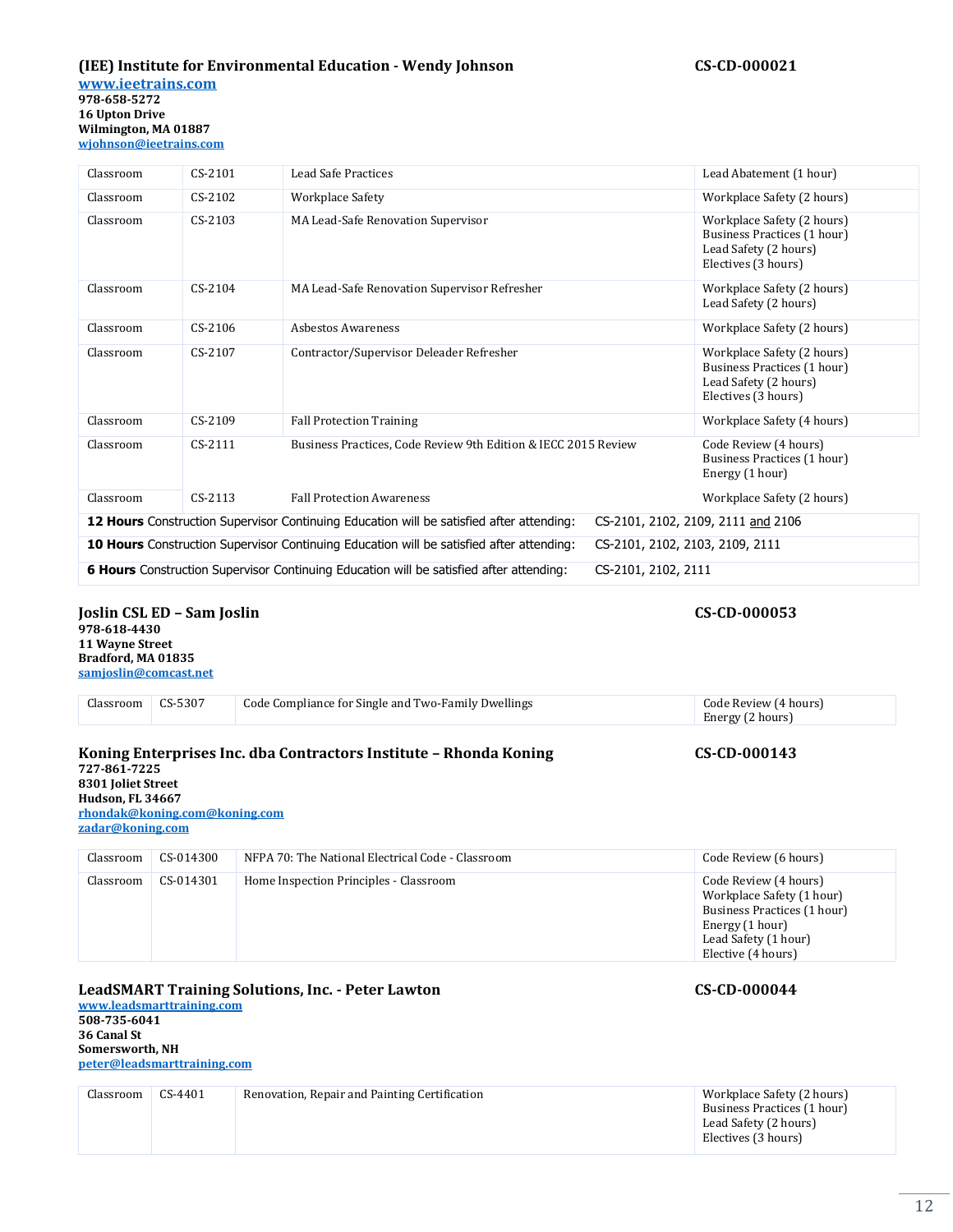# **(IEE) Institute for Environmental Education - Wendy Johnson CS-CD-000021**

**[www.ieetrains.com](http://www.ieetrains.com/) 978-658-5272 16 Upton Drive Wilmington, MA 01887 [wjohnson@ieetrains.com](mailto:wjohnson@ieetrains.com)**

| Classroom | $CS-2101$ | <b>Lead Safe Practices</b>                                                               |                                 | Lead Abatement (1 hour)                                                                                   |
|-----------|-----------|------------------------------------------------------------------------------------------|---------------------------------|-----------------------------------------------------------------------------------------------------------|
| Classroom | $CS-2102$ | Workplace Safety                                                                         |                                 | Workplace Safety (2 hours)                                                                                |
| Classroom | CS-2103   | MA Lead-Safe Renovation Supervisor                                                       |                                 | Workplace Safety (2 hours)<br>Business Practices (1 hour)<br>Lead Safety (2 hours)<br>Electives (3 hours) |
| Classroom | $CS-2104$ | MA Lead-Safe Renovation Supervisor Refresher                                             |                                 | Workplace Safety (2 hours)<br>Lead Safety (2 hours)                                                       |
| Classroom | CS-2106   | <b>Asbestos Awareness</b>                                                                |                                 | Workplace Safety (2 hours)                                                                                |
| Classroom | CS-2107   | Contractor/Supervisor Deleader Refresher                                                 |                                 | Workplace Safety (2 hours)<br>Business Practices (1 hour)<br>Lead Safety (2 hours)<br>Electives (3 hours) |
| Classroom | CS-2109   | <b>Fall Protection Training</b>                                                          |                                 | Workplace Safety (4 hours)                                                                                |
| Classroom | $CS-2111$ | Business Practices, Code Review 9th Edition & IECC 2015 Review                           |                                 | Code Review (4 hours)<br>Business Practices (1 hour)<br>Energy (1 hour)                                   |
| Classroom | $CS-2113$ | <b>Fall Protection Awareness</b>                                                         |                                 | Workplace Safety (2 hours)                                                                                |
|           |           | 12 Hours Construction Supervisor Continuing Education will be satisfied after attending: |                                 | CS-2101, 2102, 2109, 2111 and 2106                                                                        |
|           |           | 10 Hours Construction Supervisor Continuing Education will be satisfied after attending: | CS-2101, 2102, 2103, 2109, 2111 |                                                                                                           |
|           |           | 6 Hours Construction Supervisor Continuing Education will be satisfied after attending:  | CS-2101, 2102, 2111             |                                                                                                           |

#### **Joslin CSL ED – Sam Joslin CS-CD-000053 978-618-4430 11 Wayne Street Bradford, MA 01835**

**[samjoslin@comcast.net](mailto:samjoslin@comcast.net)**

| CS-5307<br>Code Compliance for Single and Two-Family Dwellings<br>Code Review (4 hours)<br>Classroom<br>Energy (2 hours) |  | Koning Enterprises Inc. dba Contractors Institute - Rhonda Koning | CS-CD-000143 |
|--------------------------------------------------------------------------------------------------------------------------|--|-------------------------------------------------------------------|--------------|
|                                                                                                                          |  |                                                                   |              |

#### **727-861-7225 8301 Joliet Street Hudson, FL 34667 [rhondak@koning.com@koning.com](mailto:rkoti@psdconsulting.com) [zadar@koning.com](mailto:zadar@koning.com)**

| Classroom | CS-014300 | NFPA 70: The National Electrical Code - Classroom | Code Review (6 hours)                                                                                                                              |
|-----------|-----------|---------------------------------------------------|----------------------------------------------------------------------------------------------------------------------------------------------------|
| Classroom | CS-014301 | Home Inspection Principles - Classroom            | Code Review (4 hours)<br>Workplace Safety (1 hour)<br>Business Practices (1 hour)<br>Energy (1 hour)<br>Lead Safety (1 hour)<br>Elective (4 hours) |

### **LeadSMART Training Solutions, Inc. - Peter Lawton CS-CD-000044**

**[www.leadsmarttraining.com](http://www.leadsmarttraining.com/) 508-735-6041 36 Canal St Somersworth, NH [peter@leadsmarttraining.com](mailto:peter@leadsmarttraining.com)**

| Classroom | $CS-4401$ | Renovation, Repair and Painting Certification | Workplace Safety (2 hours)<br>Business Practices (1 hour) |
|-----------|-----------|-----------------------------------------------|-----------------------------------------------------------|
|           |           |                                               | Lead Safety (2 hours)<br>Electives (3 hours)              |

# 12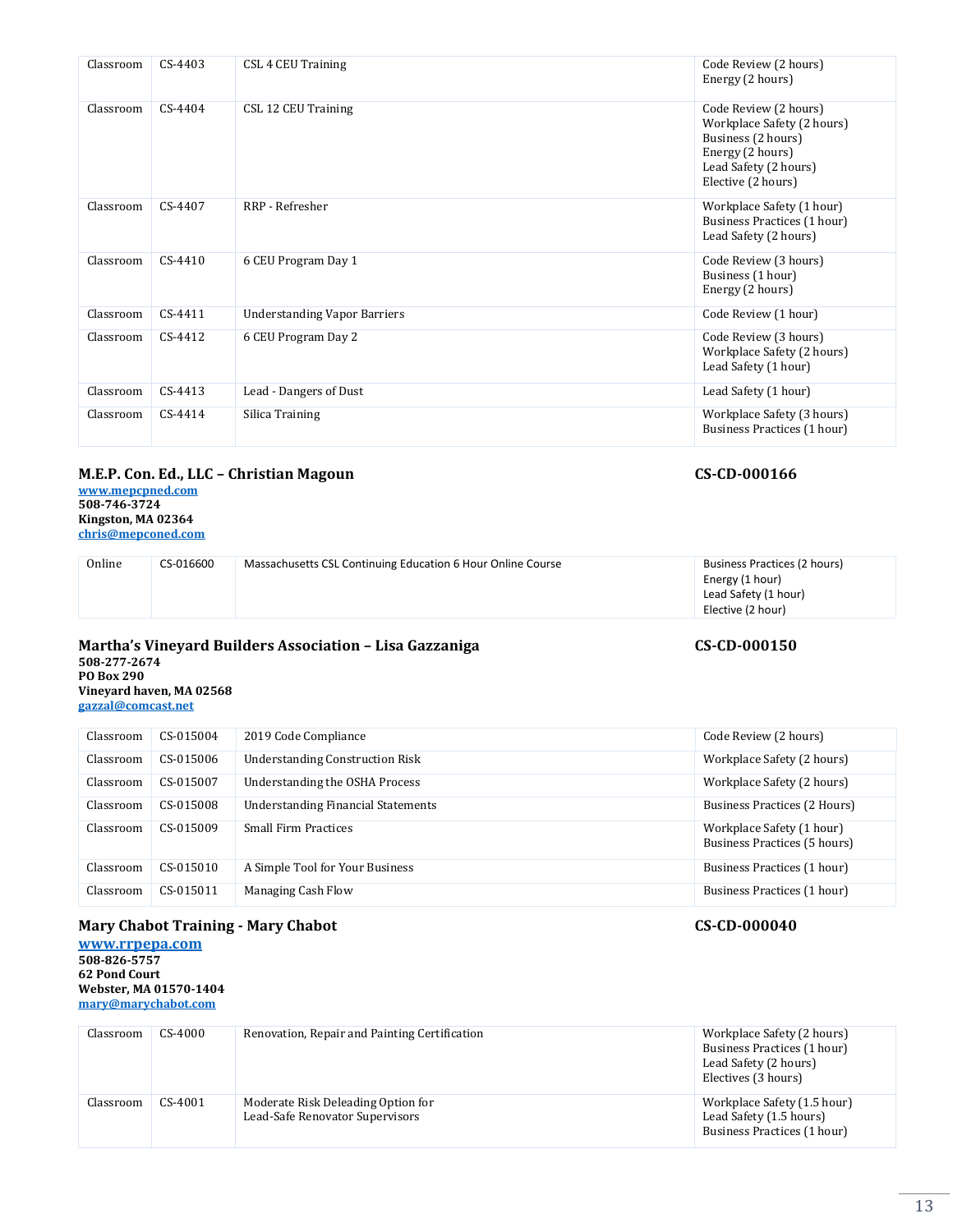| Classroom | $CS-4403$ | CSL 4 CEU Training                  | Code Review (2 hours)<br>Energy (2 hours)                                                                                                    |
|-----------|-----------|-------------------------------------|----------------------------------------------------------------------------------------------------------------------------------------------|
| Classroom | CS-4404   | CSL 12 CEU Training                 | Code Review (2 hours)<br>Workplace Safety (2 hours)<br>Business (2 hours)<br>Energy (2 hours)<br>Lead Safety (2 hours)<br>Elective (2 hours) |
| Classroom | CS-4407   | RRP - Refresher                     | Workplace Safety (1 hour)<br>Business Practices (1 hour)<br>Lead Safety (2 hours)                                                            |
| Classroom | CS-4410   | 6 CEU Program Day 1                 | Code Review (3 hours)<br>Business (1 hour)<br>Energy (2 hours)                                                                               |
| Classroom | CS-4411   | <b>Understanding Vapor Barriers</b> | Code Review (1 hour)                                                                                                                         |
| Classroom | CS-4412   | 6 CEU Program Day 2                 | Code Review (3 hours)<br>Workplace Safety (2 hours)<br>Lead Safety (1 hour)                                                                  |
| Classroom | $CS-4413$ | Lead - Dangers of Dust              | Lead Safety (1 hour)                                                                                                                         |
| Classroom | $CS-4414$ | Silica Training                     | Workplace Safety (3 hours)<br>Business Practices (1 hour)                                                                                    |
|           |           |                                     |                                                                                                                                              |

# **M.E.P. Con. Ed., LLC – Christian Magoun CS-CD-000166**

**[www.mepcpned.com](http://www.mepcpned.com/) 508-746-3724 Kingston, MA 02364 [chris@mepconed.com](mailto:chris@mepconed.com)**

| Online | CS-016600 | Massachusetts CSL Continuing Education 6 Hour Online Course | Business Practices (2 hours)<br>Energy (1 hour)<br>Lead Safety (1 hour)<br>Elective (2 hour) |  |
|--------|-----------|-------------------------------------------------------------|----------------------------------------------------------------------------------------------|--|
|        |           |                                                             |                                                                                              |  |

#### **Martha's Vineyard Builders Association – Lisa Gazzaniga CS-CD-000150 508-277-2674 PO Box 290 Vineyard haven, MA 02568**

**gazzal@comcast.net**

| Classroom | CS-015004 | 2019 Code Compliance                      | Code Review (2 hours)                                     |
|-----------|-----------|-------------------------------------------|-----------------------------------------------------------|
| Classroom | CS-015006 | <b>Understanding Construction Risk</b>    | Workplace Safety (2 hours)                                |
| Classroom | CS-015007 | Understanding the OSHA Process            | Workplace Safety (2 hours)                                |
| Classroom | CS-015008 | <b>Understanding Financial Statements</b> | Business Practices (2 Hours)                              |
| Classroom | CS-015009 | <b>Small Firm Practices</b>               | Workplace Safety (1 hour)<br>Business Practices (5 hours) |
| Classroom | CS-015010 | A Simple Tool for Your Business           | Business Practices (1 hour)                               |
| Classroom | CS-015011 | Managing Cash Flow                        | Business Practices (1 hour)                               |

# **Mary Chabot Training - Mary Chabot CS-CD-000040**

**[www.rrpepa.com](http://www.rrpepa.com/) 508-826-5757 62 Pond Court Webster, MA 01570-1404 [mary@marychabot.com](mailto:mary@marychabot.com)**

| Classroom | CS-4000 | Renovation, Repair and Painting Certification                         | Workplace Safety (2 hours)<br>Business Practices (1 hour)<br>Lead Safety (2 hours)<br>Electives (3 hours) |
|-----------|---------|-----------------------------------------------------------------------|-----------------------------------------------------------------------------------------------------------|
| Classroom | CS-4001 | Moderate Risk Deleading Option for<br>Lead-Safe Renovator Supervisors | Workplace Safety (1.5 hour)<br>Lead Safety (1.5 hours)<br>Business Practices (1 hour)                     |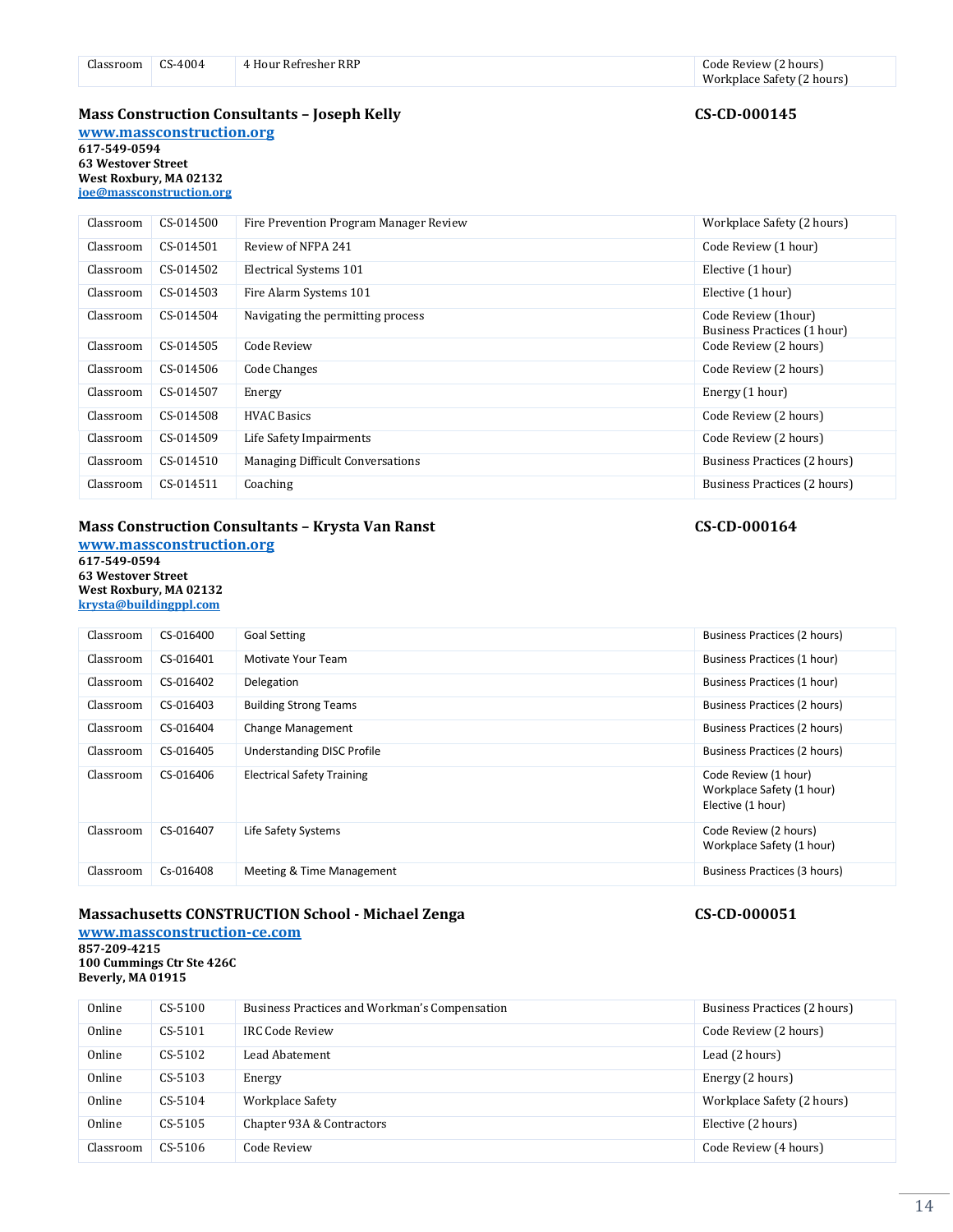| Jlassroom | CS-4004 | 4 Hour Refresher RRP | Code Review (2 hours)      |
|-----------|---------|----------------------|----------------------------|
|           |         |                      | Workplace Safety (2 hours) |

### **Mass Construction Consultants – Joseph Kelly CS-CD-000145**

**[www.massconstruction.org](http://www.massconstruction.org/) 617-549-0594 63 Westover Street West Roxbury, MA 02132 [joe@massconstruction.org](mailto:joe@massconstruction.org)**

| Classroom | CS-014500 | Fire Prevention Program Manager Review  | Workplace Safety (2 hours)                         |
|-----------|-----------|-----------------------------------------|----------------------------------------------------|
| Classroom | CS-014501 | Review of NFPA 241                      | Code Review (1 hour)                               |
| Classroom | CS-014502 | Electrical Systems 101                  | Elective (1 hour)                                  |
| Classroom | CS-014503 | Fire Alarm Systems 101                  | Elective (1 hour)                                  |
| Classroom | CS-014504 | Navigating the permitting process       | Code Review (1hour)<br>Business Practices (1 hour) |
| Classroom | CS-014505 | Code Review                             | Code Review (2 hours)                              |
| Classroom | CS-014506 | Code Changes                            | Code Review (2 hours)                              |
| Classroom | CS-014507 | Energy                                  | Energy (1 hour)                                    |
| Classroom | CS-014508 | <b>HVAC Basics</b>                      | Code Review (2 hours)                              |
| Classroom | CS-014509 | Life Safety Impairments                 | Code Review (2 hours)                              |
| Classroom | CS-014510 | <b>Managing Difficult Conversations</b> | Business Practices (2 hours)                       |
| Classroom | CS-014511 | Coaching                                | Business Practices (2 hours)                       |

### **Mass Construction Consultants – Krysta Van Ranst CS-CD-000164**

**[www.massconstruction.org](http://www.massconstruction.org/) 617-549-0594 63 Westover Street West Roxbury, MA 02132 [krysta@buildingppl.com](mailto:joe@massconstruction.org)**

# Classroom CS-016400 Goal Setting Communications and CS-016400 Goal Setting Business Practices (2 hours) Classroom CS-016401 Motivate Your Team Business Practices (1 hour) November 2012 Classroom CS-016402 Delegation Communication Business Practices (1 hour) Classroom CS-016403 Building Strong Teams Business Practices (2 hours) Business Practices (2 hours) Classroom CS-016404 Change Management Changement Business Practices (2 hours) Classroom CS-016405 Understanding DISC Profile **Conservation Conservation** Business Practices (2 hours) Classroom CS-016406 Electrical Safety Training Code Review (1 hour) Workplace Safety (1 hour) Elective (1 hour) Classroom CS-016407 Life Safety Systems Code Review (2 hours) Code Review (2 hours) Workplace Safety (1 hour) Classroom Cs-016408 Meeting & Time Management Business Practices (3 hours) Business Practices (3 hours)

#### **Massachusetts CONSTRUCTION School - Michael Zenga CS-CD-000051**

**[www.massconstruction-ce.com](http://www.massconstruction-ce.com/) 857-209-4215 100 Cummings Ctr Ste 426C Beverly, MA 01915**

| Online    | CS-5100 | Business Practices and Workman's Compensation | Business Practices (2 hours) |
|-----------|---------|-----------------------------------------------|------------------------------|
| Online    | CS-5101 | <b>IRC Code Review</b>                        | Code Review (2 hours)        |
| Online    | CS-5102 | Lead Abatement.                               | Lead (2 hours)               |
| Online    | CS-5103 | Energy                                        | Energy (2 hours)             |
| Online    | CS-5104 | Workplace Safety                              | Workplace Safety (2 hours)   |
| Online    | CS-5105 | Chapter 93A & Contractors                     | Elective (2 hours)           |
| Classroom | CS-5106 | Code Review                                   | Code Review (4 hours)        |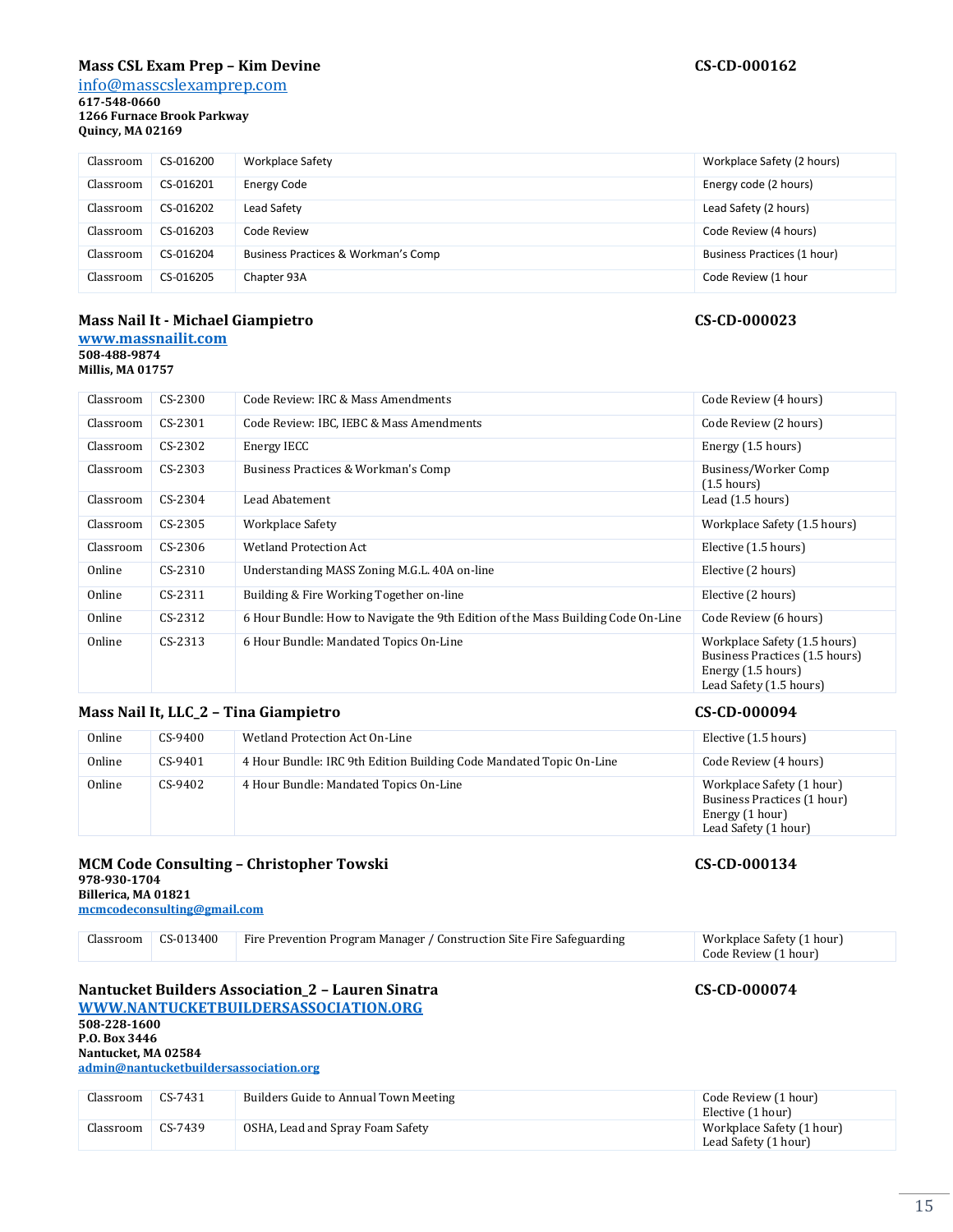### **Mass CSL Exam Prep – Kim Devine CS-CD-000162**

[info@masscslexamprep.com](mailto:info@masscslexamprep.com)

**617-548-0660 1266 Furnace Brook Parkway Quincy, MA 02169**

| Classroom | CS-016200 | Workplace Safety                    | Workplace Safety (2 hours)  |
|-----------|-----------|-------------------------------------|-----------------------------|
| Classroom | CS-016201 | <b>Energy Code</b>                  | Energy code (2 hours)       |
| Classroom | CS-016202 | Lead Safety                         | Lead Safety (2 hours)       |
| Classroom | CS-016203 | Code Review                         | Code Review (4 hours)       |
| Classroom | CS-016204 | Business Practices & Workman's Comp | Business Practices (1 hour) |
| Classroom | CS-016205 | Chapter 93A                         | Code Review (1 hour         |

### **Mass Nail It - Michael Giampietro CS-CD-000023**

### **[www.massnailit.com](http://www.massnailit.com/) 508-488-9874**

**Millis, MA 01757**

| Classroom | CS-2300   | Code Review: IRC & Mass Amendments                                               | Code Review (4 hours)                                                                                           |
|-----------|-----------|----------------------------------------------------------------------------------|-----------------------------------------------------------------------------------------------------------------|
| Classroom | $CS-2301$ | Code Review: IBC, IEBC & Mass Amendments                                         | Code Review (2 hours)                                                                                           |
| Classroom | CS-2302   | Energy IECC                                                                      | Energy (1.5 hours)                                                                                              |
| Classroom | CS-2303   | Business Practices & Workman's Comp                                              | Business/Worker Comp<br>$(1.5 \text{ hours})$                                                                   |
| Classroom | $CS-2304$ | Lead Abatement                                                                   | Lead (1.5 hours)                                                                                                |
| Classroom | CS-2305   | Workplace Safety                                                                 | Workplace Safety (1.5 hours)                                                                                    |
| Classroom | CS-2306   | Wetland Protection Act                                                           | Elective (1.5 hours)                                                                                            |
| Online    | $CS-2310$ | Understanding MASS Zoning M.G.L. 40A on-line                                     | Elective (2 hours)                                                                                              |
| Online    | $CS-2311$ | Building & Fire Working Together on-line                                         | Elective (2 hours)                                                                                              |
| Online    | $CS-2312$ | 6 Hour Bundle: How to Navigate the 9th Edition of the Mass Building Code On-Line | Code Review (6 hours)                                                                                           |
| Online    | $CS-2313$ | 6 Hour Bundle: Mandated Topics On-Line                                           | Workplace Safety (1.5 hours)<br>Business Practices (1.5 hours)<br>Energy (1.5 hours)<br>Lead Safety (1.5 hours) |

### **Mass Nail It, LLC\_2 – Tina Giampietro CS-CD-000094**

| Online | $CS-9400$ | Wetland Protection Act On-Line                                      | Elective (1.5 hours)                                                                                |
|--------|-----------|---------------------------------------------------------------------|-----------------------------------------------------------------------------------------------------|
| Online | CS-9401   | 4 Hour Bundle: IRC 9th Edition Building Code Mandated Topic On-Line | Code Review (4 hours)                                                                               |
| Online | $CS-9402$ | 4 Hour Bundle: Mandated Topics On-Line                              | Workplace Safety (1 hour)<br>Business Practices (1 hour)<br>Energy (1 hour)<br>Lead Safety (1 hour) |

#### **MCM Code Consulting – Christopher Towski CS-CD-000134 978-930-1704 Billerica, MA 01821**

**[mcmcodeconsulting@gmail.com](http://www.nantucketbuildersassociation.org/)**

| Classroom | CS-013400 | Fire Prevention Program Manager / Construction Site Fire Safeguarding | Workplace Safety (1 hour)<br>Code Review (1 hour) |
|-----------|-----------|-----------------------------------------------------------------------|---------------------------------------------------|
|           |           |                                                                       |                                                   |

### **Nantucket Builders Association\_2 – Lauren Sinatra CS-CD-000074**

**[WWW.NANTUCKETBUILDERSASSOCIATION.ORG](http://www.nantucketbuildersassociation.org/) 508-228-1600 P.O. Box 3446 Nantucket, MA 02584 [admin@nantucketbuildersassociation.org](mailto:admin@nantucketbuildersassociation.org)**

| Classroom | CS-7431 | Builders Guide to Annual Town Meeting | Code Review (1 hour)<br>Elective (1 hour)         |
|-----------|---------|---------------------------------------|---------------------------------------------------|
| Classroom | CS-7439 | OSHA, Lead and Spray Foam Safety      | Workplace Safety (1 hour)<br>Lead Safety (1 hour) |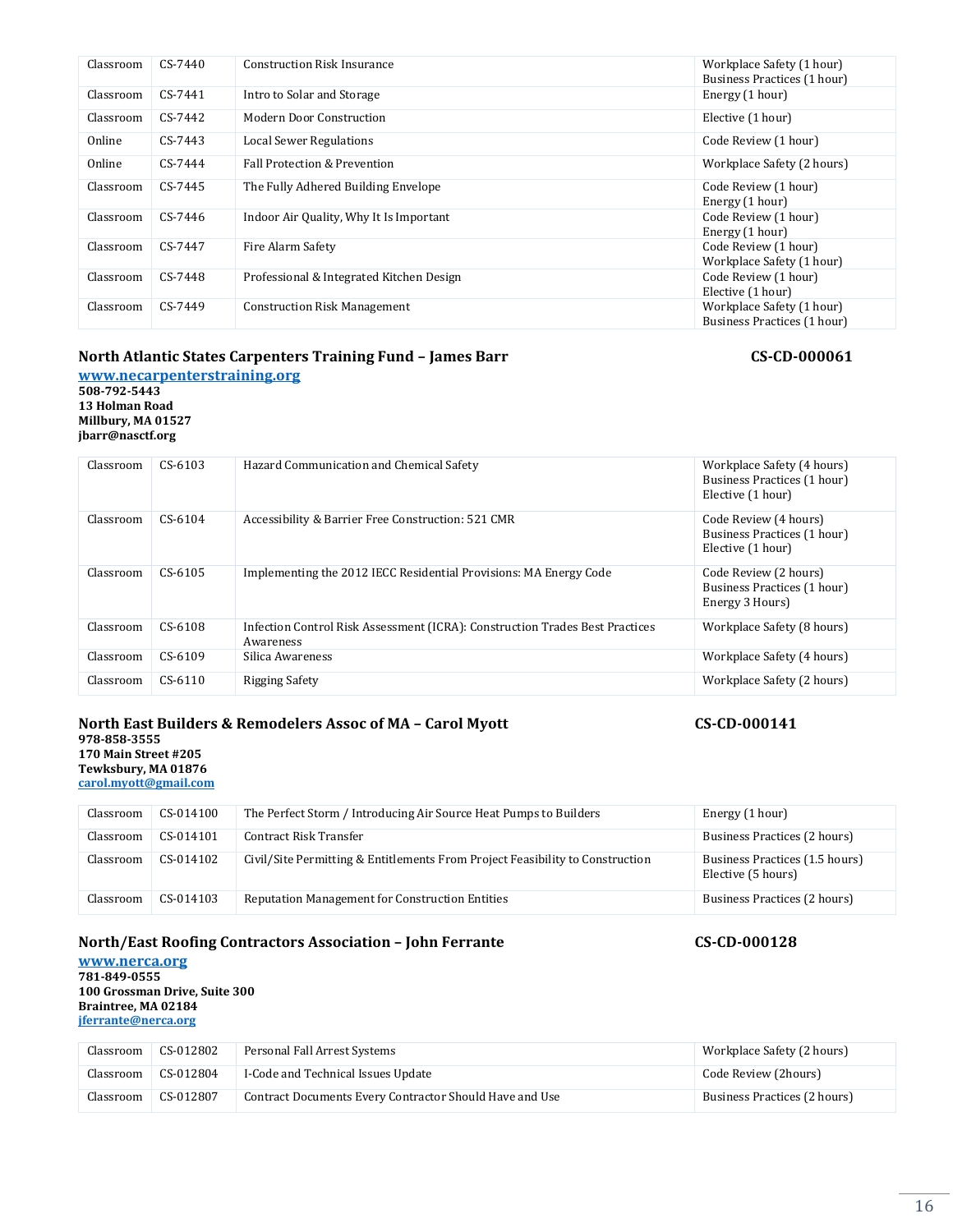| Classroom                                                                                                    | CS-014103 | <b>Reputation Management for Construction Entities</b>     | Business Practices (2 hours) |  |  |  |
|--------------------------------------------------------------------------------------------------------------|-----------|------------------------------------------------------------|------------------------------|--|--|--|
|                                                                                                              |           | North/East Roofing Contractors Association - John Ferrante | CS-CD-000128                 |  |  |  |
| www.nerca.org<br>781-849-0555<br>100 Grossman Drive, Suite 300<br>Braintree, MA 02184<br>jferrante@nerca.org |           |                                                            |                              |  |  |  |
| Classroom                                                                                                    | CS-012802 | Personal Fall Arrest Systems                               | Workplace Safety (2 hours)   |  |  |  |

Business Practices (1 hour)

Business Practices (1 hour)

Elective (1 hour)

| <b>North East Builders &amp; Remodelers Assoc of MA - Carol Myott</b><br>978-858-3555<br>170 Main Street #205<br>Tewksbury, MA 01876<br>carol.myott@gmail.com | CS-CD-000141 |                                                                   |                              |
|---------------------------------------------------------------------------------------------------------------------------------------------------------------|--------------|-------------------------------------------------------------------|------------------------------|
| Classroom                                                                                                                                                     | CS-014100    | The Perfect Storm / Introducing Air Source Heat Pumps to Builders | Energy (1 hour)              |
| Classroom                                                                                                                                                     | CS-014101    | Contract Risk Transfer                                            | Business Practices (2 hours) |

### **978-858-3555 170 Main Str**

# **Tewksbury,**

| carol.myott@gmail.com |           |                                                                               |                                                      |
|-----------------------|-----------|-------------------------------------------------------------------------------|------------------------------------------------------|
| Classroom             | CS-014100 | The Perfect Storm / Introducing Air Source Heat Pumps to Builders             | Energy (1 hour)                                      |
| Classroom             | CS-014101 | Contract Risk Transfer                                                        | Business Practices (2 hours)                         |
| Classroom             | CS-014102 | Civil/Site Permitting & Entitlements From Project Feasibility to Construction | Business Practices (1.5 hours)<br>Elective (5 hours) |

| Classroom | $CS-6104$ | Accessibility & Barrier Free Construction: 521 CMR                                        | Code Review (4 hours)<br>Business Practices (1 hour)<br>Elective (1 hour) |
|-----------|-----------|-------------------------------------------------------------------------------------------|---------------------------------------------------------------------------|
| Classroom | $CS-6105$ | Implementing the 2012 IECC Residential Provisions: MA Energy Code                         | Code Review (2 hours)<br>Business Practices (1 hour)<br>Energy 3 Hours)   |
| Classroom | CS-6108   | Infection Control Risk Assessment (ICRA): Construction Trades Best Practices<br>Awareness | Workplace Safety (8 hours)                                                |
| Classroom | $CS-6109$ | Silica Awareness                                                                          | Workplace Safety (4 hours)                                                |
| Classroom | $CS-6110$ | Rigging Safety                                                                            | Workplace Safety (2 hours)                                                |

Classroom CS-6103 Hazard Communication and Chemical Safety Workplace Safety (4 hours)

# **North Atlantic States Carpenters Training Fund – James Barr CS-CD-000061**

**[www.necarpenterstraining.org](http://www.necarpenterstraining.org/) 508-792-5443**

**13 Holman Road**

**Millbury, MA 01527 jbarr@nasctf.org**

#### Classroom CS-7440 Construction Risk Insurance Construction Risk Insurance Workplace Safety (1 hour) Business Practices (1 hour) Classroom CS-7441 Intro to Solar and Storage Energy (1 hour) Classroom CS-7442 Modern Door Construction Elective (1 hour) Online CS-7443 Local Sewer Regulations Code Review (1 hour) Online CS-7444 Fall Protection & Prevention Contract Contract Contract CS-7444 CS-7444 CONTEXT CONTEXT CONTEXT Classroom CS-7445 The Fully Adhered Building Envelope Code Review (1 hour) Energy (1 hour) Classroom CS-7446 Indoor Air Quality, Why It Is Important Code Review (1 hour) Code Review (1 hour) Energy (1 hour) Classroom CS-7447 Fire Alarm Safety Code Review (1 hour) Workplace Safety (1 hour) Classroom CS-7448 Professional & Integrated Kitchen Design Code Review (1 hour) Elective (1 hour) Classroom CS-7449 Construction Risk Management Workplace Safety (1 hour)

**100 Grossman Drive, Suite 300 Braintree, MA 02184 [jferrante@nerca.org](mailto:jferrante@nerca.org)** Classroom CS-012802 Personal Fall Arrest Systems Classroom CS-012804 I-Code and Technical Issues Update Code Review (2hours) Code Review (2hours)

Classroom CS-012807 Contract Documents Every Contractor Should Have and Use Business Practices (2 hours)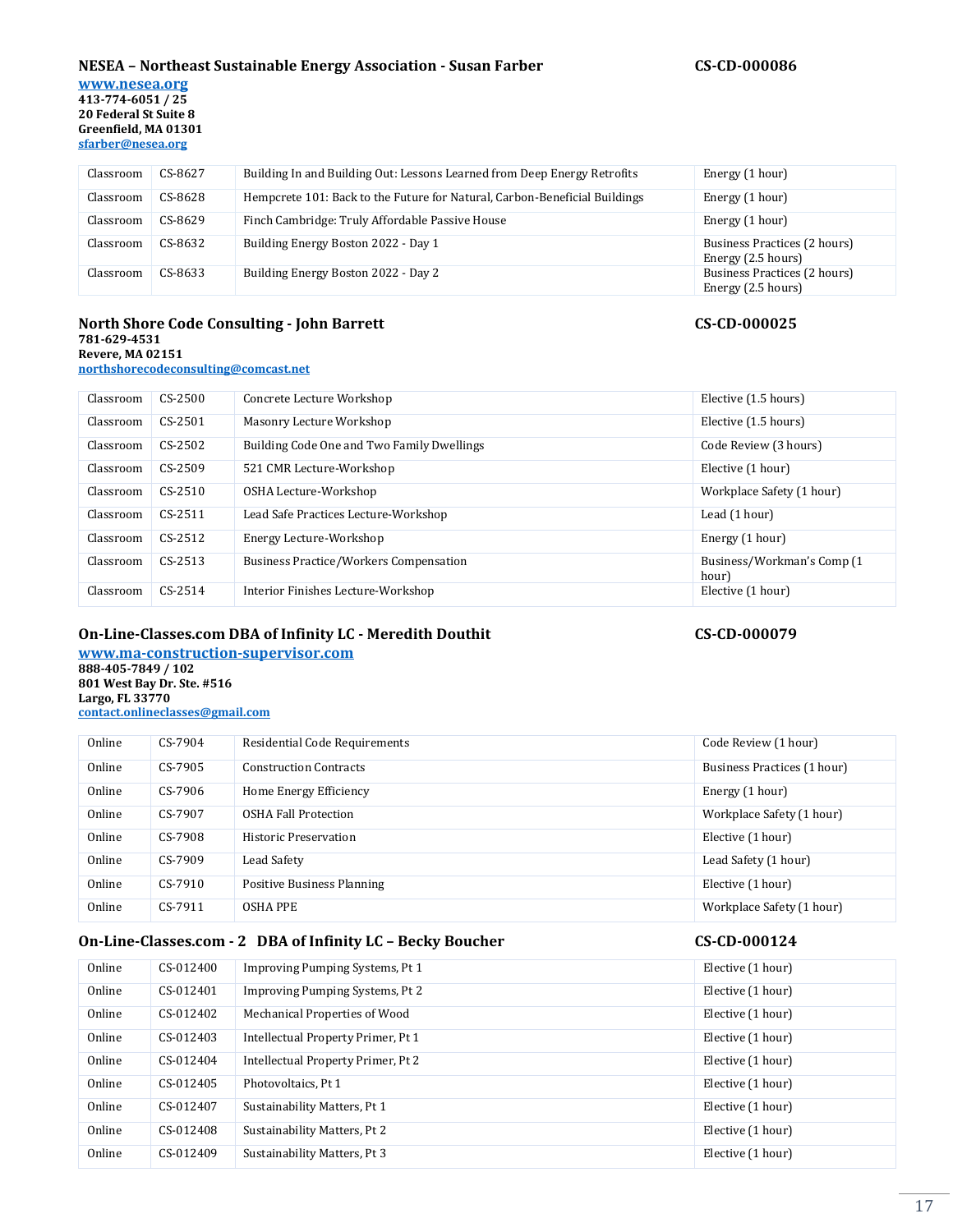#### **NESEA – Northeast Sustainable Energy Association - Susan Farber CS-CD-000086**

**[www.nesea.org](http://www.nesea.org/) 413-774-6051 / 25 20 Federal St Suite 8 Greenfield, MA 01301 [sfarber@nesea.org](mailto:bfraser@nesea.org)**

| Classroom | CS-8627 | Building In and Building Out: Lessons Learned from Deep Energy Retrofits   | Energy (1 hour)                                    |
|-----------|---------|----------------------------------------------------------------------------|----------------------------------------------------|
| Classroom | CS-8628 | Hempcrete 101: Back to the Future for Natural, Carbon-Beneficial Buildings | Energy (1 hour)                                    |
| Classroom | CS-8629 | Finch Cambridge: Truly Affordable Passive House                            | Energy (1 hour)                                    |
| Classroom | CS-8632 | Building Energy Boston 2022 - Day 1                                        | Business Practices (2 hours)<br>Energy (2.5 hours) |
| Classroom | CS-8633 | Building Energy Boston 2022 - Day 2                                        | Business Practices (2 hours)<br>Energy (2.5 hours) |

#### **North Shore Code Consulting - John Barrett CS-CD-000025 781-629-4531 Revere, MA 02151 [northshorecodeconsulting@comcast.net](mailto:northshorecodeconsulting@comcast.net)**

| Classroom | $CS-2500$ | Concrete Lecture Workshop                     | Elective (1.5 hours)                 |
|-----------|-----------|-----------------------------------------------|--------------------------------------|
| Classroom | $CS-2501$ | Masonry Lecture Workshop                      | Elective (1.5 hours)                 |
| Classroom | $CS-2502$ | Building Code One and Two Family Dwellings    | Code Review (3 hours)                |
| Classroom | $CS-2509$ | 521 CMR Lecture-Workshop                      | Elective (1 hour)                    |
| Classroom | $CS-2510$ | OSHA Lecture-Workshop                         | Workplace Safety (1 hour)            |
| Classroom | $CS-2511$ | Lead Safe Practices Lecture-Workshop          | Lead (1 hour)                        |
| Classroom | $CS-2512$ | Energy Lecture-Workshop                       | Energy (1 hour)                      |
| Classroom | $CS-2513$ | <b>Business Practice/Workers Compensation</b> | Business/Workman's Comp (1)<br>hour) |
| Classroom | $CS-2514$ | Interior Finishes Lecture-Workshop            | Elective (1 hour)                    |

### **On-Line-Classes.com DBA of Infinity LC - Meredith Douthit CS-CD-000079**

**[www.ma-construction-supervisor.com](http://www.ma-construction-supervisor.com/) 888-405-7849 / 102 801 West Bay Dr. Ste. #516 Largo, FL 33770 [contact.onlineclasses@gmail.com](mailto:meredith.onlineclasses@gmail.com)**

| Online | CS-7904   | Residential Code Requirements | Code Review (1 hour)        |
|--------|-----------|-------------------------------|-----------------------------|
| Online | $CS-7905$ | <b>Construction Contracts</b> | Business Practices (1 hour) |
| Online | CS-7906   | Home Energy Efficiency        | Energy (1 hour)             |
| Online | CS-7907   | OSHA Fall Protection          | Workplace Safety (1 hour)   |
| Online | CS-7908   | Historic Preservation         | Elective (1 hour)           |
| Online | $CS-7909$ | Lead Safety                   | Lead Safety (1 hour)        |
| Online | CS-7910   | Positive Business Planning    | Elective (1 hour)           |
| Online | CS-7911   | <b>OSHA PPE</b>               | Workplace Safety (1 hour)   |

### **On-Line-Classes.com - 2 DBA of Infinity LC – Becky Boucher CS-CD-000124**

| Online | CS-012400 | Improving Pumping Systems, Pt 1    | Elective (1 hour) |
|--------|-----------|------------------------------------|-------------------|
| Online | CS-012401 | Improving Pumping Systems, Pt 2    | Elective (1 hour) |
| Online | CS-012402 | Mechanical Properties of Wood      | Elective (1 hour) |
| Online | CS-012403 | Intellectual Property Primer, Pt 1 | Elective (1 hour) |
| Online | CS-012404 | Intellectual Property Primer, Pt 2 | Elective (1 hour) |
| Online | CS-012405 | Photovoltaics, Pt 1                | Elective (1 hour) |
| Online | CS-012407 | Sustainability Matters, Pt 1       | Elective (1 hour) |
| Online | CS-012408 | Sustainability Matters, Pt 2       | Elective (1 hour) |
| Online | CS-012409 | Sustainability Matters, Pt 3       | Elective (1 hour) |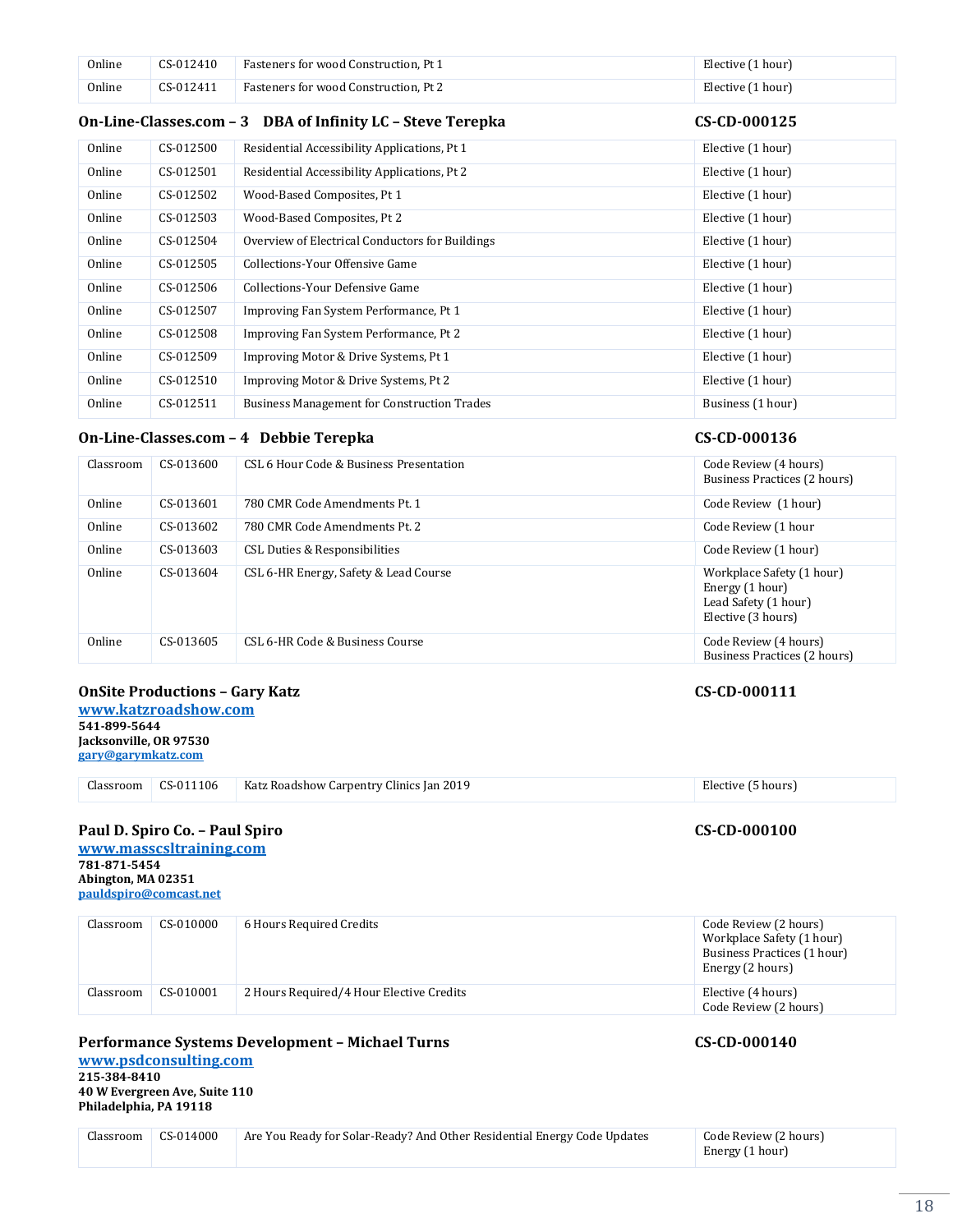| Online | CS-012410 | Fasteners for wood Construction, Pt 1 | Elective (1 hour) |
|--------|-----------|---------------------------------------|-------------------|
| Online | CS-012411 | Fasteners for wood Construction, Pt 2 | Elective (1 hour) |

#### **On-Line-Classes.com – 3 DBA of Infinity LC – Steve Terepka CS-CD-000125**

| Online | CS-012500 | Residential Accessibility Applications, Pt 1       | Elective (1 hour) |
|--------|-----------|----------------------------------------------------|-------------------|
| Online | CS-012501 | Residential Accessibility Applications, Pt 2       | Elective (1 hour) |
| Online | CS-012502 | Wood-Based Composites, Pt 1                        | Elective (1 hour) |
| Online | CS-012503 | Wood-Based Composites, Pt 2                        | Elective (1 hour) |
| Online | CS-012504 | Overview of Electrical Conductors for Buildings    | Elective (1 hour) |
| Online | CS-012505 | Collections-Your Offensive Game                    | Elective (1 hour) |
| Online | CS-012506 | Collections-Your Defensive Game                    | Elective (1 hour) |
| Online | CS-012507 | Improving Fan System Performance, Pt 1             | Elective (1 hour) |
| Online | CS-012508 | Improving Fan System Performance, Pt 2             | Elective (1 hour) |
| Online | CS-012509 | Improving Motor & Drive Systems, Pt 1              | Elective (1 hour) |
| Online | CS-012510 | Improving Motor & Drive Systems, Pt 2              | Elective (1 hour) |
| Online | CS-012511 | <b>Business Management for Construction Trades</b> | Business (1 hour) |

### **On-Line-Classes.com – 4 Debbie Terepka CS-CD-000136**

| Classroom | CS-013600 | CSL 6 Hour Code & Business Presentation | Code Review (4 hours)<br>Business Practices (2 hours)                                      |
|-----------|-----------|-----------------------------------------|--------------------------------------------------------------------------------------------|
| Online    | CS-013601 | 780 CMR Code Amendments Pt. 1           | Code Review (1 hour)                                                                       |
| Online    | CS-013602 | 780 CMR Code Amendments Pt. 2           | Code Review (1 hour                                                                        |
| Online    | CS-013603 | CSL Duties & Responsibilities           | Code Review (1 hour)                                                                       |
| Online    | CS-013604 | CSL 6-HR Energy, Safety & Lead Course   | Workplace Safety (1 hour)<br>Energy (1 hour)<br>Lead Safety (1 hour)<br>Elective (3 hours) |
| Online    | CS-013605 | CSL 6-HR Code & Business Course         | Code Review (4 hours)<br>Business Practices (2 hours)                                      |

### **OnSite Productions – Gary Katz CS-CD-000111**

**[www.katzroadshow.com](http://www.katzroadshow.com/) 541-899-5644 Jacksonville, OR 97530 [gary@garymkatz.com](mailto:pauldspiro@comcast.net)**

| Classroom | $CS-011106$ | Katz Roadshow Carpentry Clinics Jan 2019 | Elective (5<br>5 hours) |
|-----------|-------------|------------------------------------------|-------------------------|

# **Paul D. Spiro Co. – Paul Spiro CS-CD-000100**

**[www.masscsltraining.com](http://www.masscsltraining.com/) 781-871-5454 Abington, MA 02351 [pauldspiro@comcast.net](mailto:pauldspiro@comcast.net)**

| Classroom | CS-010000 | 6 Hours Required Credits                 | Code Review (2 hours)<br>Workplace Safety (1 hour)<br>Business Practices (1 hour)<br>Energy (2 hours) |
|-----------|-----------|------------------------------------------|-------------------------------------------------------------------------------------------------------|
| Classroom | CS-010001 | 2 Hours Required/4 Hour Elective Credits | Elective (4 hours)<br>Code Review (2 hours)                                                           |

#### **Performance Systems Development – Michael Turns CS-CD-000140**

**[www.psdconsulting.com](http://www.masscsltraining.com/) 215-384-8410 40 W Evergreen Ave, Suite 110 Philadelphia, PA 19118**

| Classroom | CS-014000 | Are You Ready for Solar-Ready? And Other Residential Energy Code Updates | Code Review (2 hours)<br>Energy (1 hour) |
|-----------|-----------|--------------------------------------------------------------------------|------------------------------------------|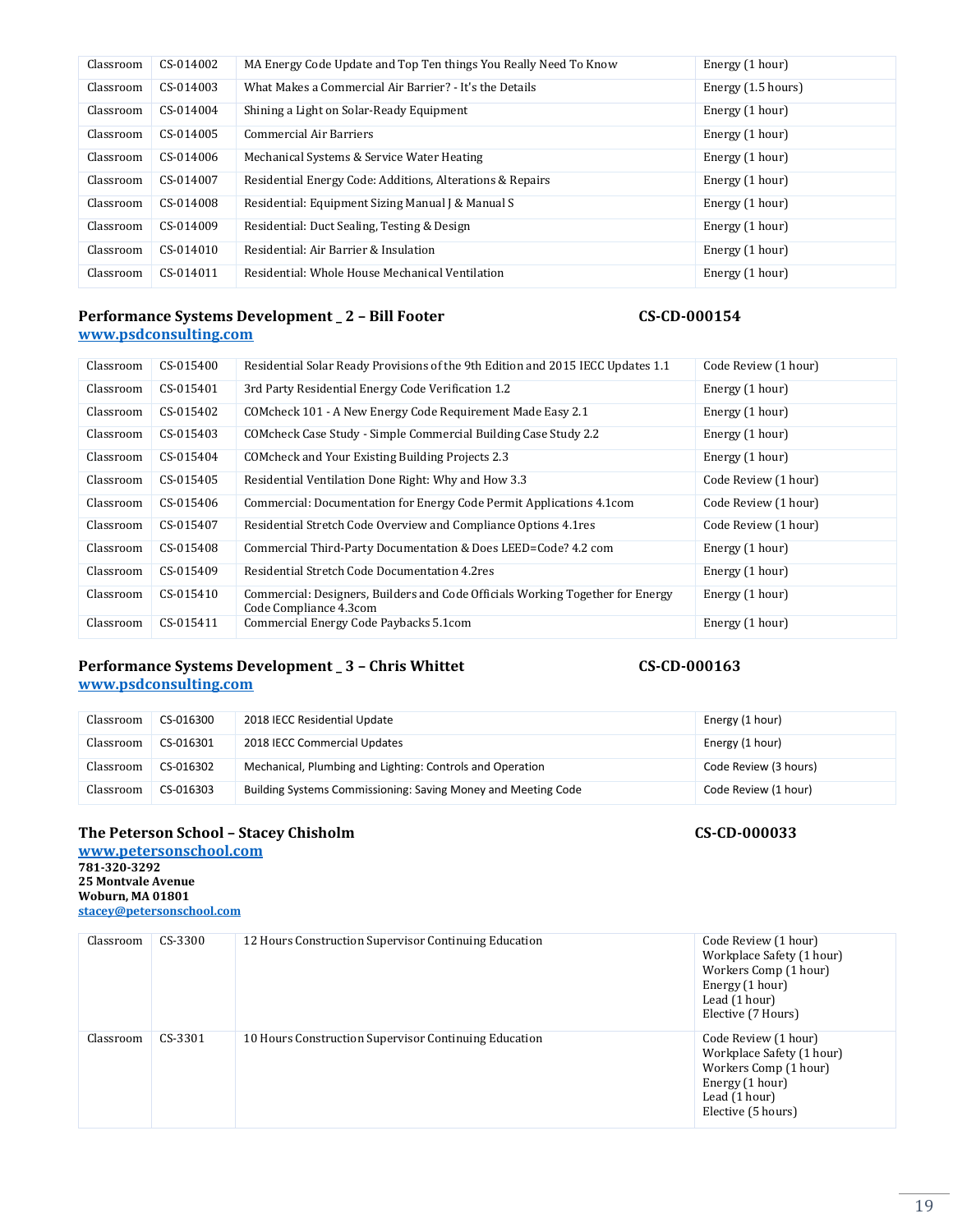| Classroom | CS-014002 | MA Energy Code Update and Top Ten things You Really Need To Know | Energy (1 hour)    |
|-----------|-----------|------------------------------------------------------------------|--------------------|
| Classroom | CS-014003 | What Makes a Commercial Air Barrier? - It's the Details          | Energy (1.5 hours) |
| Classroom | CS-014004 | Shining a Light on Solar-Ready Equipment                         | Energy (1 hour)    |
| Classroom | CS-014005 | <b>Commercial Air Barriers</b>                                   | Energy (1 hour)    |
| Classroom | CS-014006 | Mechanical Systems & Service Water Heating                       | Energy (1 hour)    |
| Classroom | CS-014007 | Residential Energy Code: Additions, Alterations & Repairs        | Energy (1 hour)    |
| Classroom | CS-014008 | Residential: Equipment Sizing Manual J & Manual S                | Energy (1 hour)    |
| Classroom | CS-014009 | Residential: Duct Sealing, Testing & Design                      | Energy (1 hour)    |
| Classroom | CS-014010 | Residential: Air Barrier & Insulation                            | Energy (1 hour)    |
| Classroom | CS-014011 | Residential: Whole House Mechanical Ventilation                  | Energy (1 hour)    |

#### **Performance Systems Development \_ 2 – Bill Footer CS-CD-000154 [www.psdconsulting.com](http://www.masscsltraining.com/)**

| Classroom | CS-015400 | Residential Solar Ready Provisions of the 9th Edition and 2015 IECC Updates 1.1                          | Code Review (1 hour) |
|-----------|-----------|----------------------------------------------------------------------------------------------------------|----------------------|
| Classroom | CS-015401 | 3rd Party Residential Energy Code Verification 1.2                                                       | Energy (1 hour)      |
| Classroom | CS-015402 | COMcheck 101 - A New Energy Code Requirement Made Easy 2.1                                               | Energy (1 hour)      |
| Classroom | CS-015403 | COMcheck Case Study - Simple Commercial Building Case Study 2.2                                          | Energy (1 hour)      |
| Classroom | CS-015404 | COM check and Your Existing Building Projects 2.3                                                        | Energy (1 hour)      |
| Classroom | CS-015405 | Residential Ventilation Done Right: Why and How 3.3                                                      | Code Review (1 hour) |
| Classroom | CS-015406 | Commercial: Documentation for Energy Code Permit Applications 4.1 com                                    | Code Review (1 hour) |
| Classroom | CS-015407 | Residential Stretch Code Overview and Compliance Options 4.1 res                                         | Code Review (1 hour) |
| Classroom | CS-015408 | Commercial Third-Party Documentation & Does LEED=Code? 4.2 com                                           | Energy (1 hour)      |
| Classroom | CS-015409 | Residential Stretch Code Documentation 4.2res                                                            | Energy (1 hour)      |
| Classroom | CS-015410 | Commercial: Designers, Builders and Code Officials Working Together for Energy<br>Code Compliance 4.3com | Energy (1 hour)      |
| Classroom | CS-015411 | Commercial Energy Code Paybacks 5.1com                                                                   | Energy (1 hour)      |

### **Performance Systems Development \_ 3 – Chris Whittet CS-CD-000163 [www.psdconsulting.com](http://www.masscsltraining.com/)**

| Classroom | CS-016300 | 2018 IECC Residential Update                                  | Energy (1 hour)       |
|-----------|-----------|---------------------------------------------------------------|-----------------------|
| Classroom | CS-016301 | 2018 IECC Commercial Updates                                  | Energy (1 hour)       |
| Classroom | CS-016302 | Mechanical, Plumbing and Lighting: Controls and Operation     | Code Review (3 hours) |
| Classroom | CS-016303 | Building Systems Commissioning: Saving Money and Meeting Code | Code Review (1 hour)  |

# **The Peterson School – Stacey Chisholm CS-CD-000033**

**[www.petersonschool.com](http://www.petersonschool.com/) 781-320-3292 25 Montvale Avenue Woburn, MA 01801 [stacey@petersonschool.com](mailto:stacey@petersonschool.com)**

| Classroom | $CS-3300$ | 12 Hours Construction Supervisor Continuing Education | Code Review (1 hour)<br>Workplace Safety (1 hour)<br>Workers Comp (1 hour)<br>Energy (1 hour)<br>Lead (1 hour)<br>Elective (7 Hours) |
|-----------|-----------|-------------------------------------------------------|--------------------------------------------------------------------------------------------------------------------------------------|
| Classroom | CS-3301   | 10 Hours Construction Supervisor Continuing Education | Code Review (1 hour)<br>Workplace Safety (1 hour)<br>Workers Comp (1 hour)<br>Energy (1 hour)<br>Lead (1 hour)<br>Elective (5 hours) |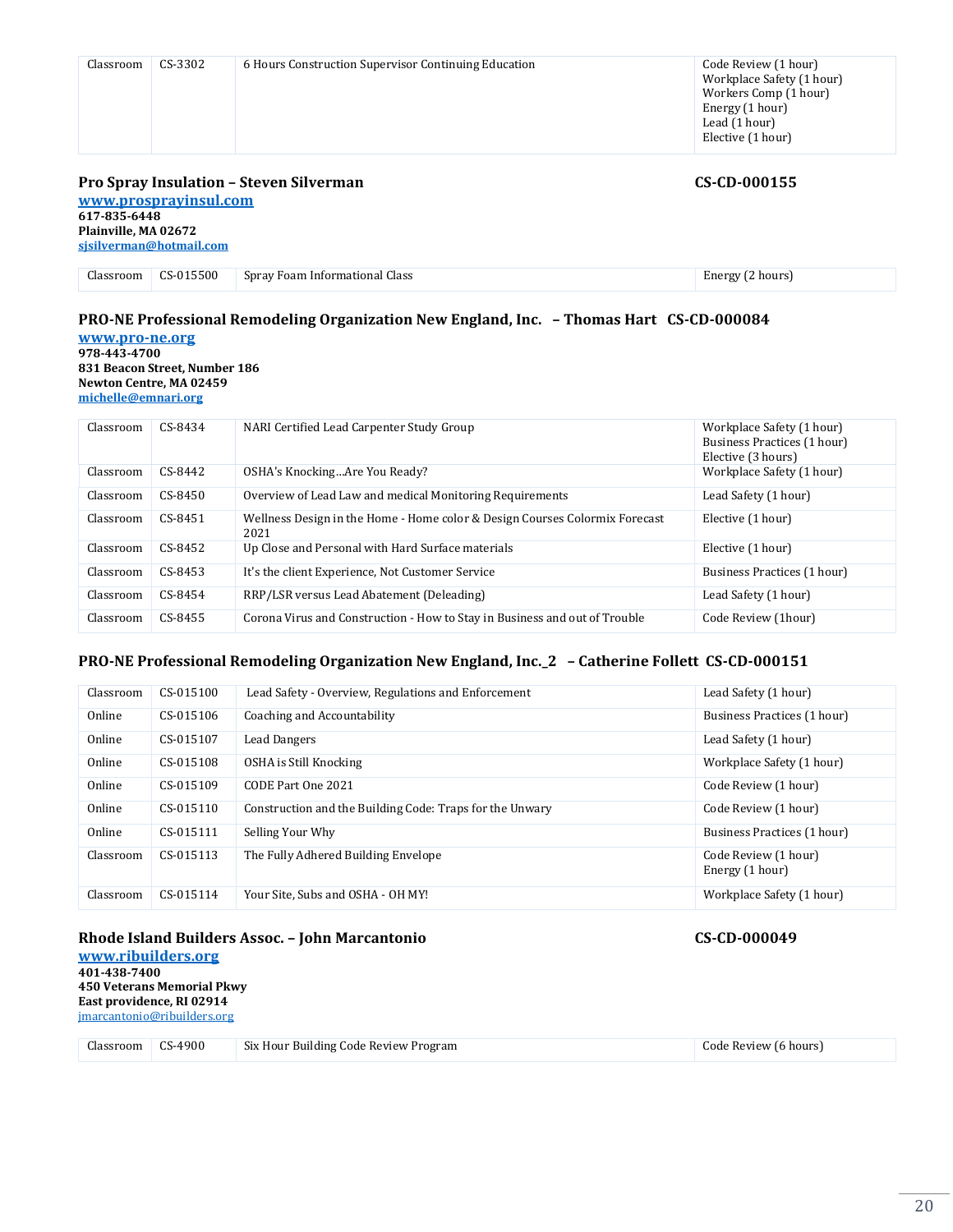|           |         | <b>Pro Spray Insulation - Steven Silverman</b>       | CS-CD-000155                                                                                                                        |
|-----------|---------|------------------------------------------------------|-------------------------------------------------------------------------------------------------------------------------------------|
| Classroom | CS-3302 | 6 Hours Construction Supervisor Continuing Education | Code Review (1 hour)<br>Workplace Safety (1 hour)<br>Workers Comp (1 hour)<br>Energy (1 hour)<br>Lead (1 hour)<br>Elective (1 hour) |

**[www.prosprayinsul.com](http://www.petersonschool.com/) 617-835-6448 Plainville, MA 02672 [sjsilverman@hotmail.com](mailto:wendy@petersonschool.com)**

Classroom CS-015500 Spray Foam Informational Class Energy (2 hours)

# **PRO-NE Professional Remodeling Organization New England, Inc. – Thomas Hart CS-CD-000084**

**[www.pro-ne.org](http://www.pro-ne.org/) 978-443-4700 831 Beacon Street, Number 186 Newton Centre, MA 02459 [michelle@emnari.org](mailto:michelle@emnari.org)**

| Classroom | CS-8434   | NARI Certified Lead Carpenter Study Group                                           | Workplace Safety (1 hour)<br>Business Practices (1 hour)<br>Elective (3 hours) |
|-----------|-----------|-------------------------------------------------------------------------------------|--------------------------------------------------------------------------------|
| Classroom | $CS-8442$ | OSHA's KnockingAre You Ready?                                                       | Workplace Safety (1 hour)                                                      |
| Classroom | $CS-8450$ | Overview of Lead Law and medical Monitoring Requirements                            | Lead Safety (1 hour)                                                           |
| Classroom | CS-8451   | Wellness Design in the Home - Home color & Design Courses Colormix Forecast<br>2021 | Elective (1 hour)                                                              |
| Classroom | $CS-8452$ | Up Close and Personal with Hard Surface materials                                   | Elective (1 hour)                                                              |
| Classroom | $CS-8453$ | It's the client Experience, Not Customer Service                                    | Business Practices (1 hour)                                                    |
| Classroom | CS-8454   | RRP/LSR versus Lead Abatement (Deleading)                                           | Lead Safety (1 hour)                                                           |
| Classroom | CS-8455   | Corona Virus and Construction - How to Stay in Business and out of Trouble          | Code Review (1hour)                                                            |

#### **PRO-NE Professional Remodeling Organization New England, Inc.\_2 – Catherine Follett CS-CD-000151**

| Classroom | CS-015100 | Lead Safety - Overview, Regulations and Enforcement      | Lead Safety (1 hour)                    |
|-----------|-----------|----------------------------------------------------------|-----------------------------------------|
| Online    | CS-015106 | Coaching and Accountability                              | Business Practices (1 hour)             |
| Online    | CS-015107 | Lead Dangers                                             | Lead Safety (1 hour)                    |
| Online    | CS-015108 | OSHA is Still Knocking                                   | Workplace Safety (1 hour)               |
| Online    | CS-015109 | CODE Part One 2021                                       | Code Review (1 hour)                    |
| Online    | CS-015110 | Construction and the Building Code: Traps for the Unwary | Code Review (1 hour)                    |
| Online    | CS-015111 | Selling Your Why                                         | Business Practices (1 hour)             |
| Classroom | CS-015113 | The Fully Adhered Building Envelope                      | Code Review (1 hour)<br>Energy (1 hour) |
| Classroom | CS-015114 | Your Site, Subs and OSHA - OH MY!                        | Workplace Safety (1 hour)               |

### **Rhode Island Builders Assoc. – John Marcantonio CS-CD-000049**

**[www.ribuilders.org](http://www.ribuilders.org/) 401-438-7400 450 Veterans Memorial Pkwy East providence, RI 02914** [jmarcantonio@ribuilders.org](mailto:jmarcantonio@ribuilders.org)

| Llassroom | $CS-4900$ | Six Hour<br>r Building Code Review Program-<br>$\sim$ $\sim$<br>. | ' 16 hours<br>. ode Review |
|-----------|-----------|-------------------------------------------------------------------|----------------------------|
|-----------|-----------|-------------------------------------------------------------------|----------------------------|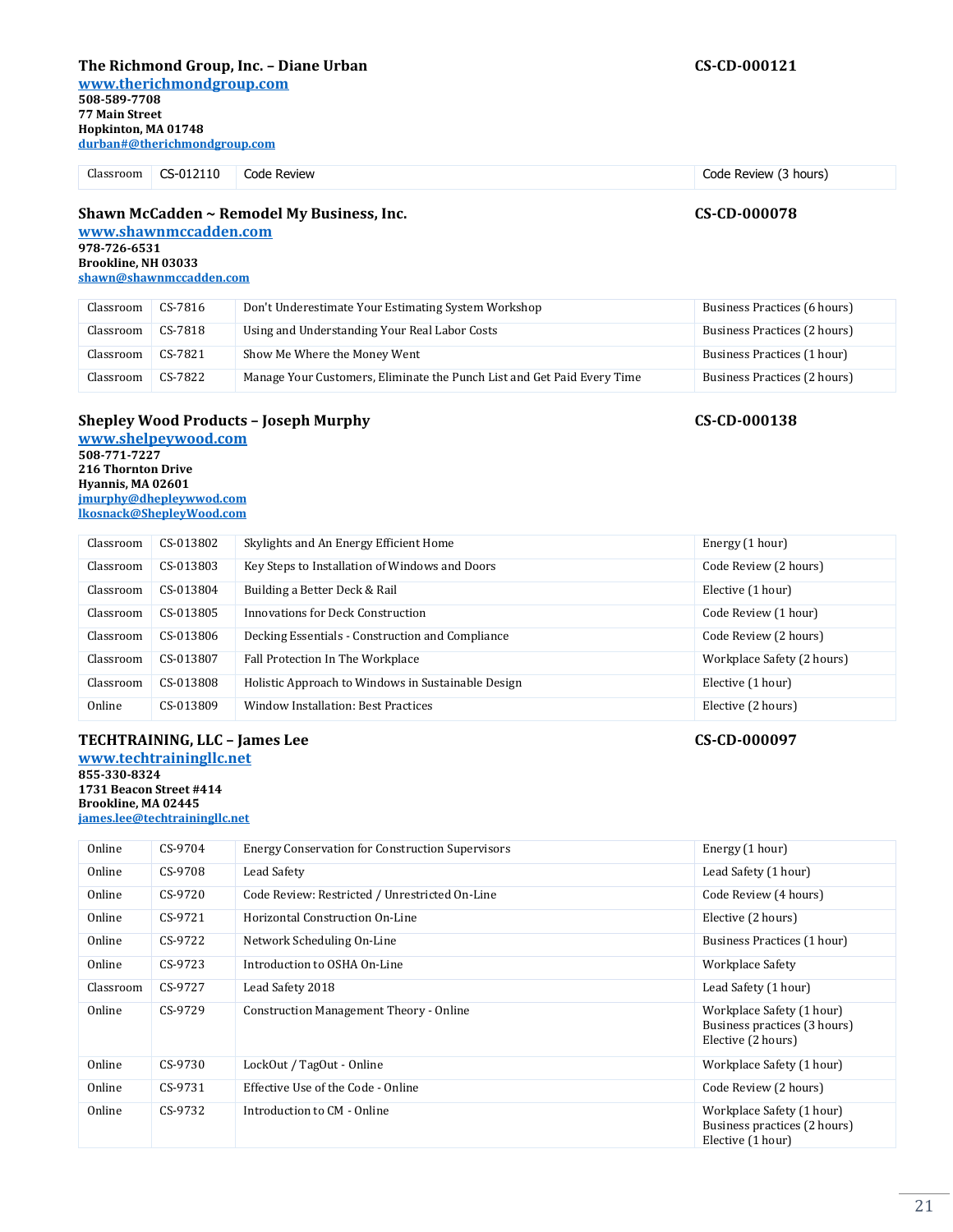### **The Richmond Group, Inc. – Diane Urban CS-CD-000121**

**[www.therichmondgroup.com](http://www.redvector.com/)**

**508-589-7708 77 Main Street Hopkinton, MA 01748 durban#@therichmondgroup.com**

Classroom CS-012110 Code Review Code Review (3 hours)

### **Shawn McCadden ~ Remodel My Business, Inc. CS-CD-000078**

**[www.shawnmccadden.com](http://www.shawnmccadden.com/) 978-726-6531 Brookline, NH 03033 [shawn@shawnmccadden.com](mailto:shawn@shawnmccadden.com)**

| Classroom | CS-7816 | Don't Underestimate Your Estimating System Workshop                     | Business Practices (6 hours) |
|-----------|---------|-------------------------------------------------------------------------|------------------------------|
| Classroom | CS-7818 | Using and Understanding Your Real Labor Costs                           | Business Practices (2 hours) |
| Classroom | CS-7821 | Show Me Where the Money Went                                            | Business Practices (1 hour)  |
| Classroom | CS-7822 | Manage Your Customers, Eliminate the Punch List and Get Paid Every Time | Business Practices (2 hours) |

### **Shepley Wood Products – Joseph Murphy CS-CD-000138**

**[www.shelpeywood.com](http://www.shelpeywood.com/) 508-771-7227 216 Thornton Drive Hyannis, MA 02601 [jmurphy@dhepleywwod.com](mailto:jmurphy@dhepleywwod.com) [lkosnack@ShepleyWood.com](mailto:lkosnack@ShepleyWood.com)**

| Classroom | CS-013802 | Skylights and An Energy Efficient Home             | Energy (1 hour)            |
|-----------|-----------|----------------------------------------------------|----------------------------|
| Classroom | CS-013803 | Key Steps to Installation of Windows and Doors     | Code Review (2 hours)      |
| Classroom | CS-013804 | Building a Better Deck & Rail                      | Elective (1 hour)          |
| Classroom | CS-013805 | Innovations for Deck Construction                  | Code Review (1 hour)       |
| Classroom | CS-013806 | Decking Essentials - Construction and Compliance   | Code Review (2 hours)      |
| Classroom | CS-013807 | Fall Protection In The Workplace                   | Workplace Safety (2 hours) |
| Classroom | CS-013808 | Holistic Approach to Windows in Sustainable Design | Elective (1 hour)          |
| Online    | CS-013809 | Window Installation: Best Practices                | Elective (2 hours)         |

#### **TECHTRAINING, LLC – James Lee CS-CD-000097 [www.techtrainingllc.net](http://www.techtrainingllc.net/) 855-330-8324**

**1731 Beacon Street #414 Brookline, MA 02445 [james.lee@techtrainingllc.net](mailto:james.lee@techtrainingllc.net)**

| Online    | CS-9704 | <b>Energy Conservation for Construction Supervisors</b> | Energy (1 hour)                                                                 |
|-----------|---------|---------------------------------------------------------|---------------------------------------------------------------------------------|
| Online    | CS-9708 | Lead Safety                                             | Lead Safety (1 hour)                                                            |
| Online    | CS-9720 | Code Review: Restricted / Unrestricted On-Line          | Code Review (4 hours)                                                           |
| Online    | CS-9721 | Horizontal Construction On-Line                         | Elective (2 hours)                                                              |
| Online    | CS-9722 | Network Scheduling On-Line                              | Business Practices (1 hour)                                                     |
| Online    | CS-9723 | Introduction to OSHA On-Line                            | Workplace Safety                                                                |
| Classroom | CS-9727 | Lead Safety 2018                                        | Lead Safety (1 hour)                                                            |
| Online    | CS-9729 | <b>Construction Management Theory - Online</b>          | Workplace Safety (1 hour)<br>Business practices (3 hours)<br>Elective (2 hours) |
| Online    | CS-9730 | LockOut / TagOut - Online                               | Workplace Safety (1 hour)                                                       |
| Online    | CS-9731 | Effective Use of the Code - Online                      | Code Review (2 hours)                                                           |
| Online    | CS-9732 | Introduction to CM - Online                             | Workplace Safety (1 hour)<br>Business practices (2 hours)<br>Elective (1 hour)  |